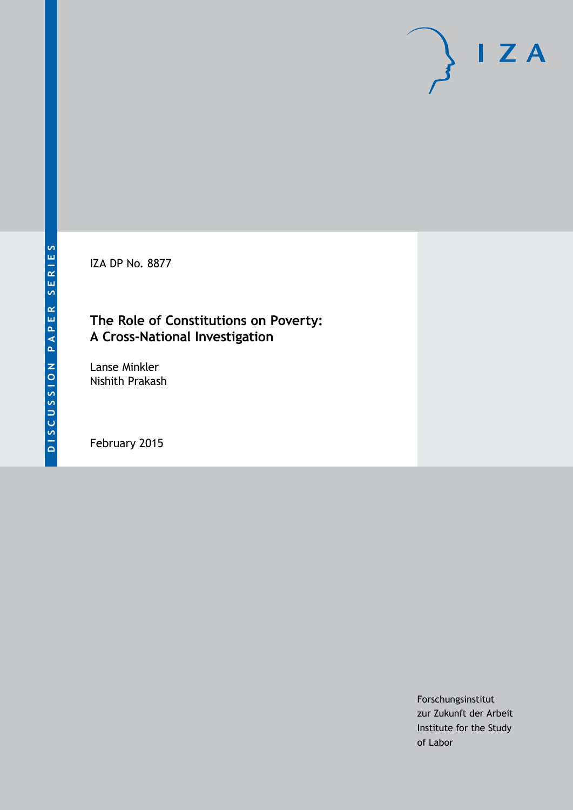IZA DP No. 8877

## **The Role of Constitutions on Poverty: A Cross-National Investigation**

Lanse Minkler Nishith Prakash

February 2015

Forschungsinstitut zur Zukunft der Arbeit Institute for the Study of Labor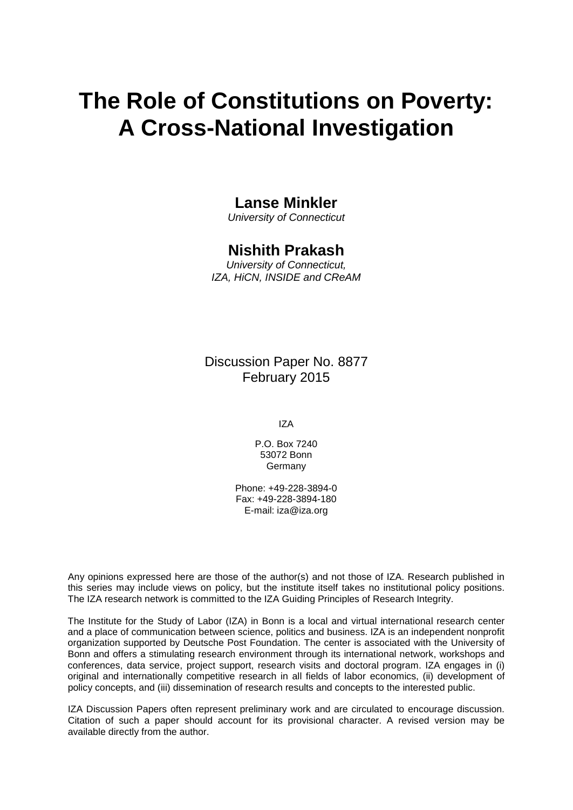# **The Role of Constitutions on Poverty: A Cross-National Investigation**

### **Lanse Minkler**

*University of Connecticut*

### **Nishith Prakash**

*University of Connecticut, IZA, HiCN, INSIDE and CReAM*

Discussion Paper No. 8877 February 2015

IZA

P.O. Box 7240 53072 Bonn Germany

Phone: +49-228-3894-0 Fax: +49-228-3894-180 E-mail: [iza@iza.org](mailto:iza@iza.org)

Any opinions expressed here are those of the author(s) and not those of IZA. Research published in this series may include views on policy, but the institute itself takes no institutional policy positions. The IZA research network is committed to the IZA Guiding Principles of Research Integrity.

The Institute for the Study of Labor (IZA) in Bonn is a local and virtual international research center and a place of communication between science, politics and business. IZA is an independent nonprofit organization supported by Deutsche Post Foundation. The center is associated with the University of Bonn and offers a stimulating research environment through its international network, workshops and conferences, data service, project support, research visits and doctoral program. IZA engages in (i) original and internationally competitive research in all fields of labor economics, (ii) development of policy concepts, and (iii) dissemination of research results and concepts to the interested public.

<span id="page-1-0"></span>IZA Discussion Papers often represent preliminary work and are circulated to encourage discussion. Citation of such a paper should account for its provisional character. A revised version may be available directly from the author.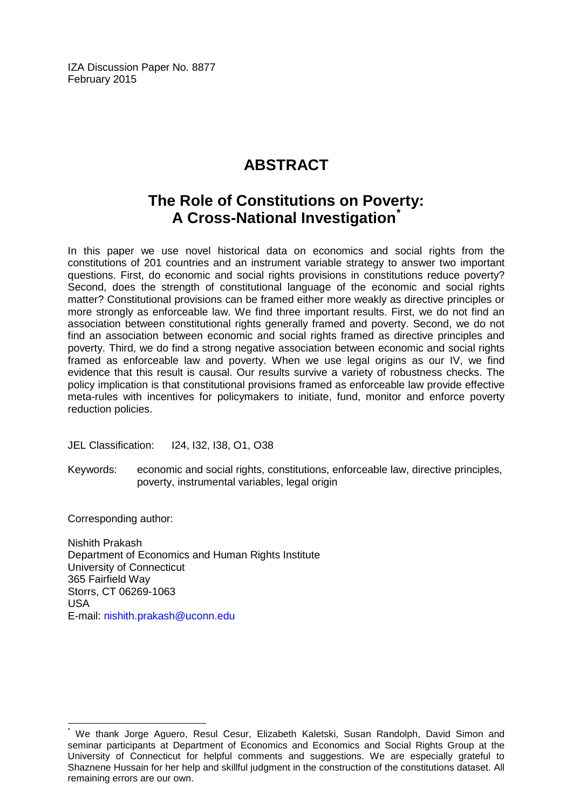IZA Discussion Paper No. 8877 February 2015

## **ABSTRACT**

## **The Role of Constitutions on Poverty: A Cross-National Investigation[\\*](#page-1-0)**

In this paper we use novel historical data on economics and social rights from the constitutions of 201 countries and an instrument variable strategy to answer two important questions. First, do economic and social rights provisions in constitutions reduce poverty? Second, does the strength of constitutional language of the economic and social rights matter? Constitutional provisions can be framed either more weakly as directive principles or more strongly as enforceable law. We find three important results. First, we do not find an association between constitutional rights generally framed and poverty. Second, we do not find an association between economic and social rights framed as directive principles and poverty. Third, we do find a strong negative association between economic and social rights framed as enforceable law and poverty. When we use legal origins as our IV, we find evidence that this result is causal. Our results survive a variety of robustness checks. The policy implication is that constitutional provisions framed as enforceable law provide effective meta-rules with incentives for policymakers to initiate, fund, monitor and enforce poverty reduction policies.

JEL Classification: I24, I32, I38, O1, O38

Keywords: economic and social rights, constitutions, enforceable law, directive principles, poverty, instrumental variables, legal origin

Corresponding author:

Nishith Prakash Department of Economics and Human Rights Institute University of Connecticut 365 Fairfield Way Storrs, CT 06269-1063 USA E-mail: [nishith.prakash@uconn.edu](mailto:nishith.prakash@uconn.edu)

We thank Jorge Aguero, Resul Cesur, Elizabeth Kaletski, Susan Randolph, David Simon and seminar participants at Department of Economics and Economics and Social Rights Group at the University of Connecticut for helpful comments and suggestions. We are especially grateful to Shaznene Hussain for her help and skillful judgment in the construction of the constitutions dataset. All remaining errors are our own.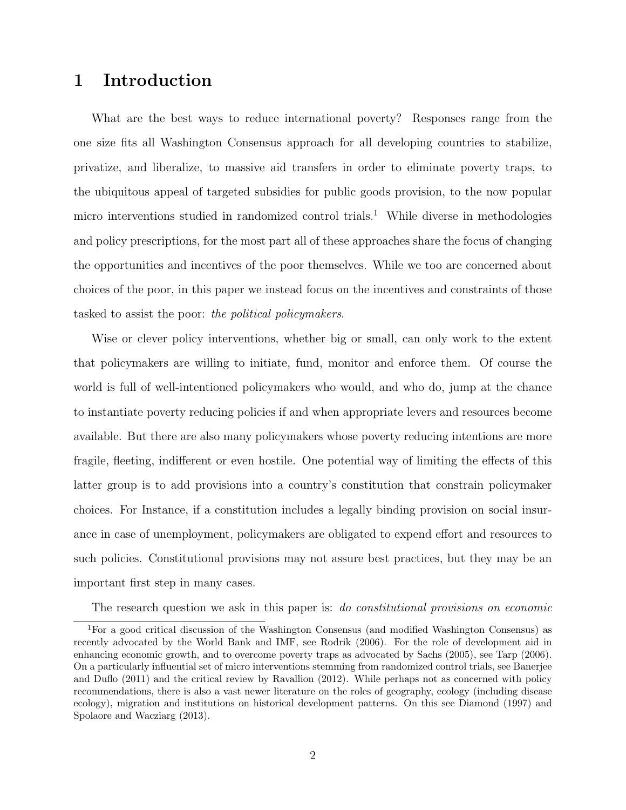## 1 Introduction

What are the best ways to reduce international poverty? Responses range from the one size fits all Washington Consensus approach for all developing countries to stabilize, privatize, and liberalize, to massive aid transfers in order to eliminate poverty traps, to the ubiquitous appeal of targeted subsidies for public goods provision, to the now popular micro interventions studied in randomized control trials.<sup>1</sup> While diverse in methodologies and policy prescriptions, for the most part all of these approaches share the focus of changing the opportunities and incentives of the poor themselves. While we too are concerned about choices of the poor, in this paper we instead focus on the incentives and constraints of those tasked to assist the poor: the political policymakers.

Wise or clever policy interventions, whether big or small, can only work to the extent that policymakers are willing to initiate, fund, monitor and enforce them. Of course the world is full of well-intentioned policymakers who would, and who do, jump at the chance to instantiate poverty reducing policies if and when appropriate levers and resources become available. But there are also many policymakers whose poverty reducing intentions are more fragile, fleeting, indifferent or even hostile. One potential way of limiting the effects of this latter group is to add provisions into a country's constitution that constrain policymaker choices. For Instance, if a constitution includes a legally binding provision on social insurance in case of unemployment, policymakers are obligated to expend effort and resources to such policies. Constitutional provisions may not assure best practices, but they may be an important first step in many cases.

The research question we ask in this paper is: *do constitutional provisions on economic* 

<sup>1</sup>For a good critical discussion of the Washington Consensus (and modified Washington Consensus) as recently advocated by the World Bank and IMF, see Rodrik (2006). For the role of development aid in enhancing economic growth, and to overcome poverty traps as advocated by Sachs (2005), see Tarp (2006). On a particularly influential set of micro interventions stemming from randomized control trials, see Banerjee and Duflo (2011) and the critical review by Ravallion (2012). While perhaps not as concerned with policy recommendations, there is also a vast newer literature on the roles of geography, ecology (including disease ecology), migration and institutions on historical development patterns. On this see Diamond (1997) and Spolaore and Wacziarg (2013).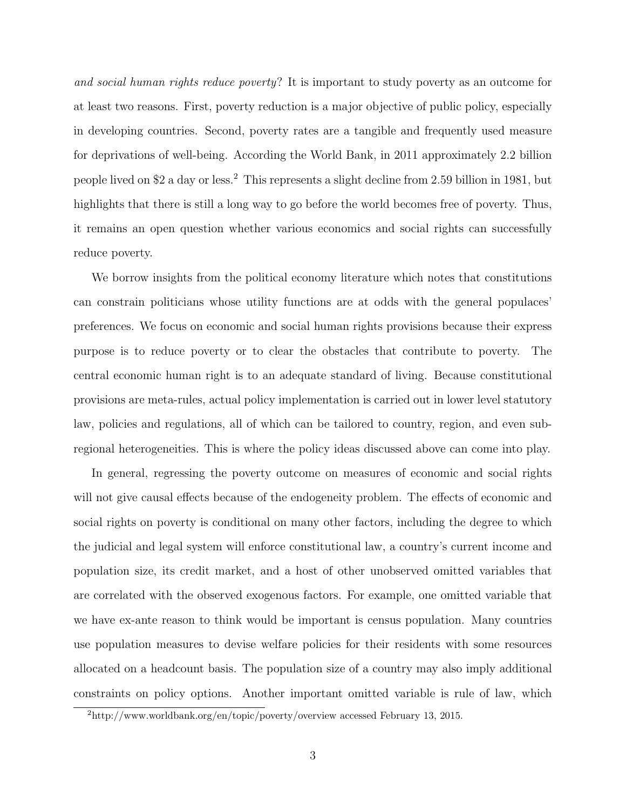and social human rights reduce poverty? It is important to study poverty as an outcome for at least two reasons. First, poverty reduction is a major objective of public policy, especially in developing countries. Second, poverty rates are a tangible and frequently used measure for deprivations of well-being. According the World Bank, in 2011 approximately 2.2 billion people lived on \$2 a day or less.<sup>2</sup> This represents a slight decline from 2.59 billion in 1981, but highlights that there is still a long way to go before the world becomes free of poverty. Thus, it remains an open question whether various economics and social rights can successfully reduce poverty.

We borrow insights from the political economy literature which notes that constitutions can constrain politicians whose utility functions are at odds with the general populaces' preferences. We focus on economic and social human rights provisions because their express purpose is to reduce poverty or to clear the obstacles that contribute to poverty. The central economic human right is to an adequate standard of living. Because constitutional provisions are meta-rules, actual policy implementation is carried out in lower level statutory law, policies and regulations, all of which can be tailored to country, region, and even subregional heterogeneities. This is where the policy ideas discussed above can come into play.

In general, regressing the poverty outcome on measures of economic and social rights will not give causal effects because of the endogeneity problem. The effects of economic and social rights on poverty is conditional on many other factors, including the degree to which the judicial and legal system will enforce constitutional law, a country's current income and population size, its credit market, and a host of other unobserved omitted variables that are correlated with the observed exogenous factors. For example, one omitted variable that we have ex-ante reason to think would be important is census population. Many countries use population measures to devise welfare policies for their residents with some resources allocated on a headcount basis. The population size of a country may also imply additional constraints on policy options. Another important omitted variable is rule of law, which

<sup>2</sup>http://www.worldbank.org/en/topic/poverty/overview accessed February 13, 2015.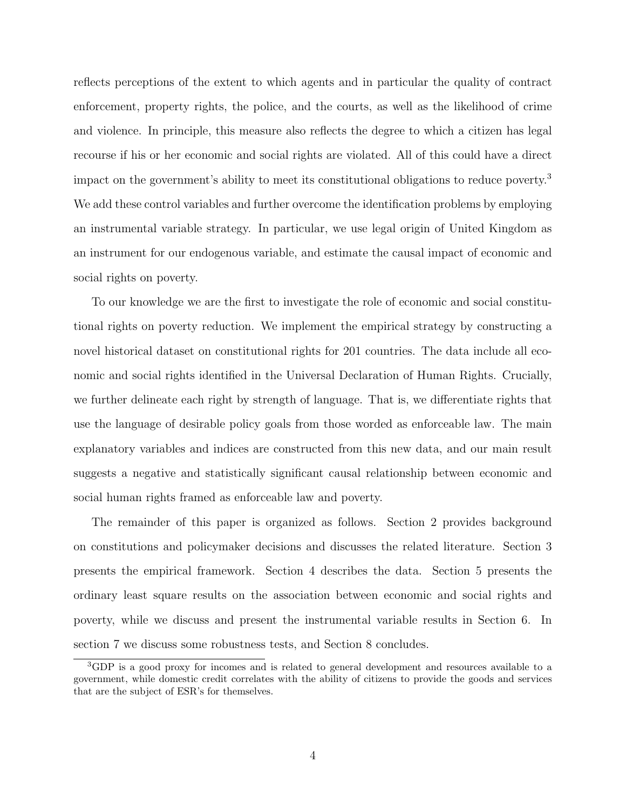reflects perceptions of the extent to which agents and in particular the quality of contract enforcement, property rights, the police, and the courts, as well as the likelihood of crime and violence. In principle, this measure also reflects the degree to which a citizen has legal recourse if his or her economic and social rights are violated. All of this could have a direct impact on the government's ability to meet its constitutional obligations to reduce poverty.<sup>3</sup> We add these control variables and further overcome the identification problems by employing an instrumental variable strategy. In particular, we use legal origin of United Kingdom as an instrument for our endogenous variable, and estimate the causal impact of economic and social rights on poverty.

To our knowledge we are the first to investigate the role of economic and social constitutional rights on poverty reduction. We implement the empirical strategy by constructing a novel historical dataset on constitutional rights for 201 countries. The data include all economic and social rights identified in the Universal Declaration of Human Rights. Crucially, we further delineate each right by strength of language. That is, we differentiate rights that use the language of desirable policy goals from those worded as enforceable law. The main explanatory variables and indices are constructed from this new data, and our main result suggests a negative and statistically significant causal relationship between economic and social human rights framed as enforceable law and poverty.

The remainder of this paper is organized as follows. Section 2 provides background on constitutions and policymaker decisions and discusses the related literature. Section 3 presents the empirical framework. Section 4 describes the data. Section 5 presents the ordinary least square results on the association between economic and social rights and poverty, while we discuss and present the instrumental variable results in Section 6. In section 7 we discuss some robustness tests, and Section 8 concludes.

<sup>3</sup>GDP is a good proxy for incomes and is related to general development and resources available to a government, while domestic credit correlates with the ability of citizens to provide the goods and services that are the subject of ESR's for themselves.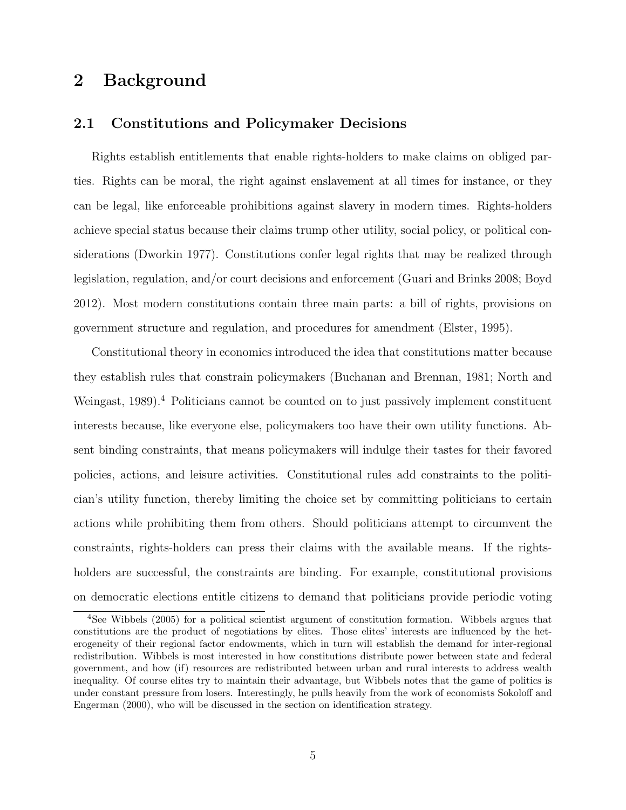## 2 Background

#### 2.1 Constitutions and Policymaker Decisions

Rights establish entitlements that enable rights-holders to make claims on obliged parties. Rights can be moral, the right against enslavement at all times for instance, or they can be legal, like enforceable prohibitions against slavery in modern times. Rights-holders achieve special status because their claims trump other utility, social policy, or political considerations (Dworkin 1977). Constitutions confer legal rights that may be realized through legislation, regulation, and/or court decisions and enforcement (Guari and Brinks 2008; Boyd 2012). Most modern constitutions contain three main parts: a bill of rights, provisions on government structure and regulation, and procedures for amendment (Elster, 1995).

Constitutional theory in economics introduced the idea that constitutions matter because they establish rules that constrain policymakers (Buchanan and Brennan, 1981; North and Weingast, 1989).<sup>4</sup> Politicians cannot be counted on to just passively implement constituent interests because, like everyone else, policymakers too have their own utility functions. Absent binding constraints, that means policymakers will indulge their tastes for their favored policies, actions, and leisure activities. Constitutional rules add constraints to the politician's utility function, thereby limiting the choice set by committing politicians to certain actions while prohibiting them from others. Should politicians attempt to circumvent the constraints, rights-holders can press their claims with the available means. If the rightsholders are successful, the constraints are binding. For example, constitutional provisions on democratic elections entitle citizens to demand that politicians provide periodic voting

<sup>4</sup>See Wibbels (2005) for a political scientist argument of constitution formation. Wibbels argues that constitutions are the product of negotiations by elites. Those elites' interests are influenced by the heterogeneity of their regional factor endowments, which in turn will establish the demand for inter-regional redistribution. Wibbels is most interested in how constitutions distribute power between state and federal government, and how (if) resources are redistributed between urban and rural interests to address wealth inequality. Of course elites try to maintain their advantage, but Wibbels notes that the game of politics is under constant pressure from losers. Interestingly, he pulls heavily from the work of economists Sokoloff and Engerman (2000), who will be discussed in the section on identification strategy.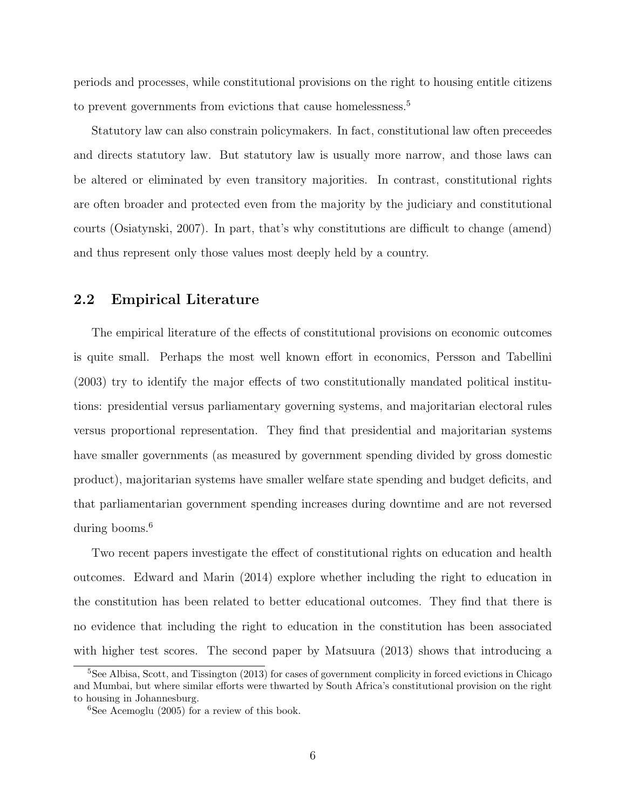periods and processes, while constitutional provisions on the right to housing entitle citizens to prevent governments from evictions that cause homelessness.<sup>5</sup>

Statutory law can also constrain policymakers. In fact, constitutional law often preceedes and directs statutory law. But statutory law is usually more narrow, and those laws can be altered or eliminated by even transitory majorities. In contrast, constitutional rights are often broader and protected even from the majority by the judiciary and constitutional courts (Osiatynski, 2007). In part, that's why constitutions are difficult to change (amend) and thus represent only those values most deeply held by a country.

#### 2.2 Empirical Literature

The empirical literature of the effects of constitutional provisions on economic outcomes is quite small. Perhaps the most well known effort in economics, Persson and Tabellini (2003) try to identify the major effects of two constitutionally mandated political institutions: presidential versus parliamentary governing systems, and majoritarian electoral rules versus proportional representation. They find that presidential and majoritarian systems have smaller governments (as measured by government spending divided by gross domestic product), majoritarian systems have smaller welfare state spending and budget deficits, and that parliamentarian government spending increases during downtime and are not reversed during booms.<sup>6</sup>

Two recent papers investigate the effect of constitutional rights on education and health outcomes. Edward and Marin (2014) explore whether including the right to education in the constitution has been related to better educational outcomes. They find that there is no evidence that including the right to education in the constitution has been associated with higher test scores. The second paper by Matsuura (2013) shows that introducing a

<sup>&</sup>lt;sup>5</sup>See Albisa, Scott, and Tissington (2013) for cases of government complicity in forced evictions in Chicago and Mumbai, but where similar efforts were thwarted by South Africa's constitutional provision on the right to housing in Johannesburg.

 ${}^{6}$ See Acemoglu (2005) for a review of this book.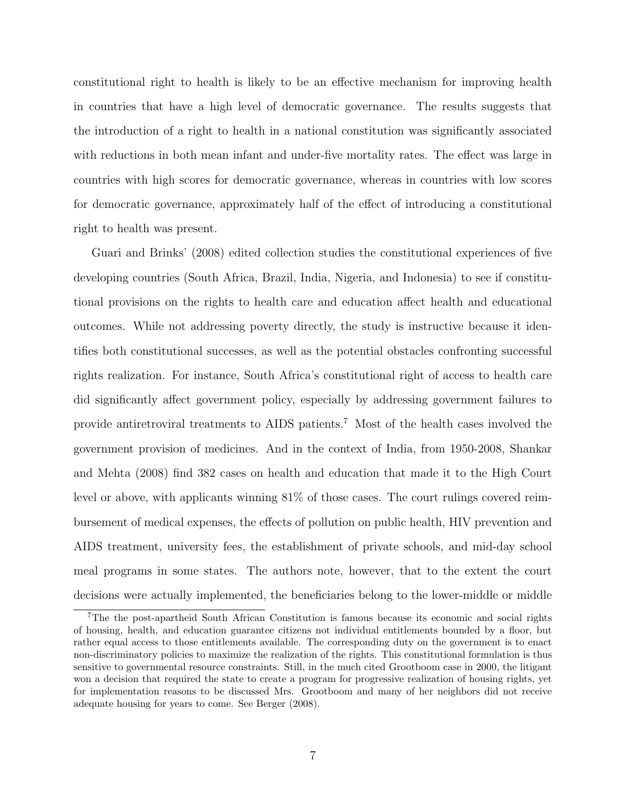constitutional right to health is likely to be an effective mechanism for improving health in countries that have a high level of democratic governance. The results suggests that the introduction of a right to health in a national constitution was significantly associated with reductions in both mean infant and under-five mortality rates. The effect was large in countries with high scores for democratic governance, whereas in countries with low scores for democratic governance, approximately half of the effect of introducing a constitutional right to health was present.

Guari and Brinks' (2008) edited collection studies the constitutional experiences of five developing countries (South Africa, Brazil, India, Nigeria, and Indonesia) to see if constitutional provisions on the rights to health care and education affect health and educational outcomes. While not addressing poverty directly, the study is instructive because it identifies both constitutional successes, as well as the potential obstacles confronting successful rights realization. For instance, South Africa's constitutional right of access to health care did significantly affect government policy, especially by addressing government failures to provide antiretroviral treatments to AIDS patients.<sup>7</sup> Most of the health cases involved the government provision of medicines. And in the context of India, from 1950-2008, Shankar and Mehta (2008) find 382 cases on health and education that made it to the High Court level or above, with applicants winning 81% of those cases. The court rulings covered reimbursement of medical expenses, the effects of pollution on public health, HIV prevention and AIDS treatment, university fees, the establishment of private schools, and mid-day school meal programs in some states. The authors note, however, that to the extent the court decisions were actually implemented, the beneficiaries belong to the lower-middle or middle

<sup>7</sup>The the post-apartheid South African Constitution is famous because its economic and social rights of housing, health, and education guarantee citizens not individual entitlements bounded by a floor, but rather equal access to those entitlements available. The corresponding duty on the government is to enact non-discriminatory policies to maximize the realization of the rights. This constitutional formulation is thus sensitive to governmental resource constraints. Still, in the much cited Grootboom case in 2000, the litigant won a decision that required the state to create a program for progressive realization of housing rights, yet for implementation reasons to be discussed Mrs. Grootboom and many of her neighbors did not receive adequate housing for years to come. See Berger (2008).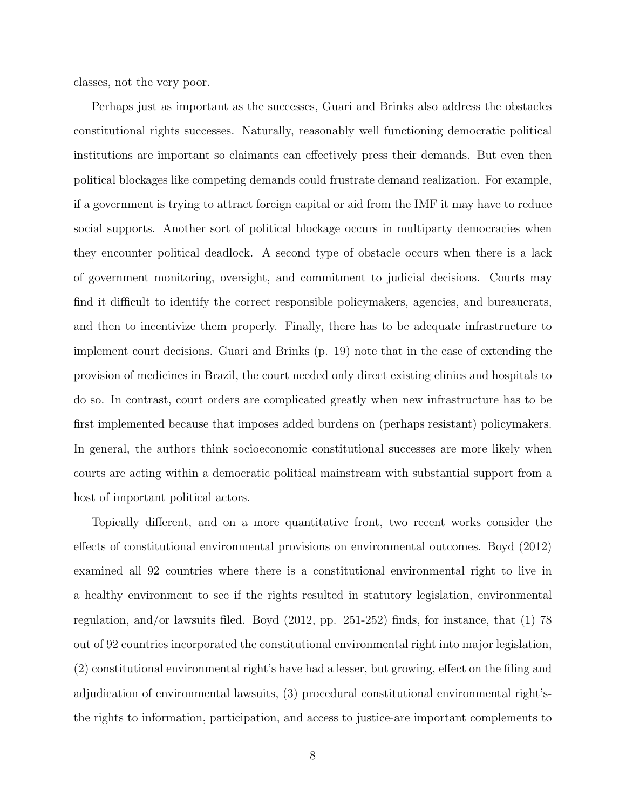classes, not the very poor.

Perhaps just as important as the successes, Guari and Brinks also address the obstacles constitutional rights successes. Naturally, reasonably well functioning democratic political institutions are important so claimants can effectively press their demands. But even then political blockages like competing demands could frustrate demand realization. For example, if a government is trying to attract foreign capital or aid from the IMF it may have to reduce social supports. Another sort of political blockage occurs in multiparty democracies when they encounter political deadlock. A second type of obstacle occurs when there is a lack of government monitoring, oversight, and commitment to judicial decisions. Courts may find it difficult to identify the correct responsible policymakers, agencies, and bureaucrats, and then to incentivize them properly. Finally, there has to be adequate infrastructure to implement court decisions. Guari and Brinks (p. 19) note that in the case of extending the provision of medicines in Brazil, the court needed only direct existing clinics and hospitals to do so. In contrast, court orders are complicated greatly when new infrastructure has to be first implemented because that imposes added burdens on (perhaps resistant) policymakers. In general, the authors think socioeconomic constitutional successes are more likely when courts are acting within a democratic political mainstream with substantial support from a host of important political actors.

Topically different, and on a more quantitative front, two recent works consider the effects of constitutional environmental provisions on environmental outcomes. Boyd (2012) examined all 92 countries where there is a constitutional environmental right to live in a healthy environment to see if the rights resulted in statutory legislation, environmental regulation, and/or lawsuits filed. Boyd (2012, pp. 251-252) finds, for instance, that (1) 78 out of 92 countries incorporated the constitutional environmental right into major legislation, (2) constitutional environmental right's have had a lesser, but growing, effect on the filing and adjudication of environmental lawsuits, (3) procedural constitutional environmental right'sthe rights to information, participation, and access to justice-are important complements to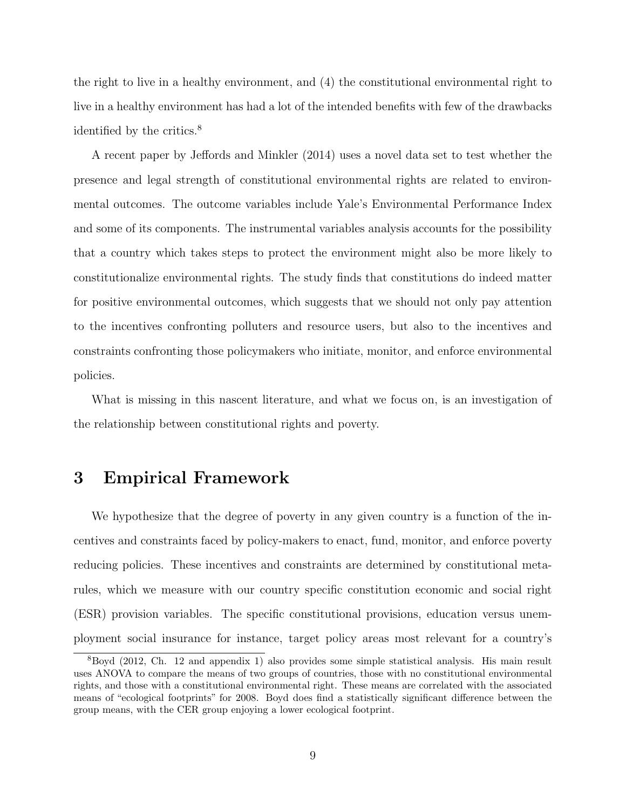the right to live in a healthy environment, and (4) the constitutional environmental right to live in a healthy environment has had a lot of the intended benefits with few of the drawbacks identified by the critics.<sup>8</sup>

A recent paper by Jeffords and Minkler (2014) uses a novel data set to test whether the presence and legal strength of constitutional environmental rights are related to environmental outcomes. The outcome variables include Yale's Environmental Performance Index and some of its components. The instrumental variables analysis accounts for the possibility that a country which takes steps to protect the environment might also be more likely to constitutionalize environmental rights. The study finds that constitutions do indeed matter for positive environmental outcomes, which suggests that we should not only pay attention to the incentives confronting polluters and resource users, but also to the incentives and constraints confronting those policymakers who initiate, monitor, and enforce environmental policies.

What is missing in this nascent literature, and what we focus on, is an investigation of the relationship between constitutional rights and poverty.

### 3 Empirical Framework

We hypothesize that the degree of poverty in any given country is a function of the incentives and constraints faced by policy-makers to enact, fund, monitor, and enforce poverty reducing policies. These incentives and constraints are determined by constitutional metarules, which we measure with our country specific constitution economic and social right (ESR) provision variables. The specific constitutional provisions, education versus unemployment social insurance for instance, target policy areas most relevant for a country's

<sup>8</sup>Boyd (2012, Ch. 12 and appendix 1) also provides some simple statistical analysis. His main result uses ANOVA to compare the means of two groups of countries, those with no constitutional environmental rights, and those with a constitutional environmental right. These means are correlated with the associated means of "ecological footprints" for 2008. Boyd does find a statistically significant difference between the group means, with the CER group enjoying a lower ecological footprint.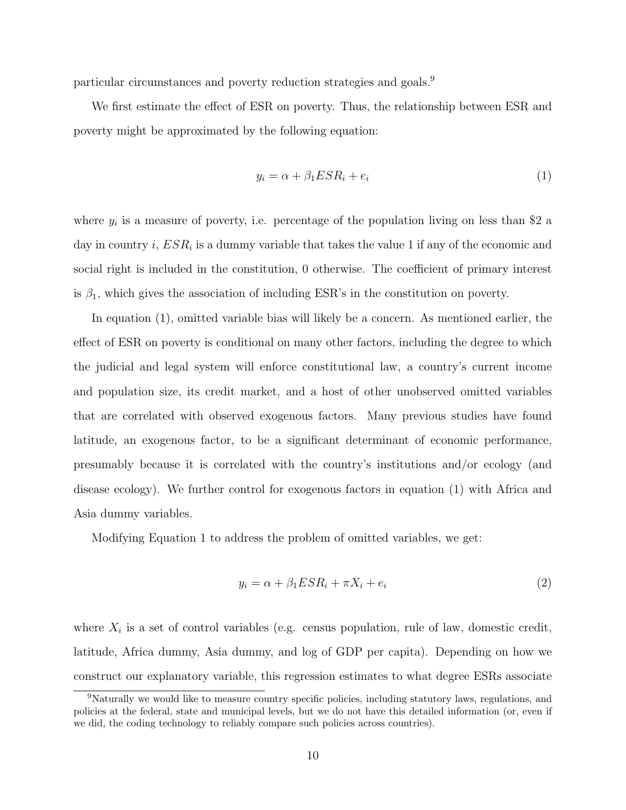particular circumstances and poverty reduction strategies and goals.<sup>9</sup>

We first estimate the effect of ESR on poverty. Thus, the relationship between ESR and poverty might be approximated by the following equation:

$$
y_i = \alpha + \beta_1 E S R_i + e_i \tag{1}
$$

where  $y_i$  is a measure of poverty, i.e. percentage of the population living on less than \$2 a day in country i,  $ESR_i$  is a dummy variable that takes the value 1 if any of the economic and social right is included in the constitution, 0 otherwise. The coefficient of primary interest is  $\beta_1$ , which gives the association of including ESR's in the constitution on poverty.

In equation (1), omitted variable bias will likely be a concern. As mentioned earlier, the effect of ESR on poverty is conditional on many other factors, including the degree to which the judicial and legal system will enforce constitutional law, a country's current income and population size, its credit market, and a host of other unobserved omitted variables that are correlated with observed exogenous factors. Many previous studies have found latitude, an exogenous factor, to be a significant determinant of economic performance, presumably because it is correlated with the country's institutions and/or ecology (and disease ecology). We further control for exogenous factors in equation (1) with Africa and Asia dummy variables.

Modifying Equation 1 to address the problem of omitted variables, we get:

$$
y_i = \alpha + \beta_1 E S R_i + \pi X_i + e_i \tag{2}
$$

where  $X_i$  is a set of control variables (e.g. census population, rule of law, domestic credit, latitude, Africa dummy, Asia dummy, and log of GDP per capita). Depending on how we construct our explanatory variable, this regression estimates to what degree ESRs associate

<sup>9</sup>Naturally we would like to measure country specific policies, including statutory laws, regulations, and policies at the federal, state and municipal levels, but we do not have this detailed information (or, even if we did, the coding technology to reliably compare such policies across countries).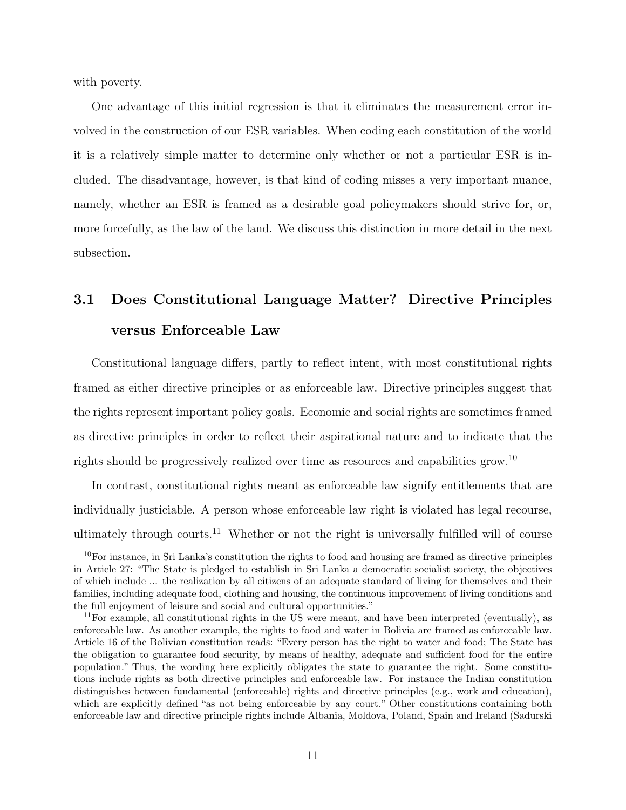with poverty.

One advantage of this initial regression is that it eliminates the measurement error involved in the construction of our ESR variables. When coding each constitution of the world it is a relatively simple matter to determine only whether or not a particular ESR is included. The disadvantage, however, is that kind of coding misses a very important nuance, namely, whether an ESR is framed as a desirable goal policymakers should strive for, or, more forcefully, as the law of the land. We discuss this distinction in more detail in the next subsection.

## 3.1 Does Constitutional Language Matter? Directive Principles versus Enforceable Law

Constitutional language differs, partly to reflect intent, with most constitutional rights framed as either directive principles or as enforceable law. Directive principles suggest that the rights represent important policy goals. Economic and social rights are sometimes framed as directive principles in order to reflect their aspirational nature and to indicate that the rights should be progressively realized over time as resources and capabilities grow.<sup>10</sup>

In contrast, constitutional rights meant as enforceable law signify entitlements that are individually justiciable. A person whose enforceable law right is violated has legal recourse, ultimately through courts.<sup>11</sup> Whether or not the right is universally fulfilled will of course

<sup>10</sup>For instance, in Sri Lanka's constitution the rights to food and housing are framed as directive principles in Article 27: "The State is pledged to establish in Sri Lanka a democratic socialist society, the objectives of which include ... the realization by all citizens of an adequate standard of living for themselves and their families, including adequate food, clothing and housing, the continuous improvement of living conditions and the full enjoyment of leisure and social and cultural opportunities."

 $11$  For example, all constitutional rights in the US were meant, and have been interpreted (eventually), as enforceable law. As another example, the rights to food and water in Bolivia are framed as enforceable law. Article 16 of the Bolivian constitution reads: "Every person has the right to water and food; The State has the obligation to guarantee food security, by means of healthy, adequate and sufficient food for the entire population." Thus, the wording here explicitly obligates the state to guarantee the right. Some constitutions include rights as both directive principles and enforceable law. For instance the Indian constitution distinguishes between fundamental (enforceable) rights and directive principles (e.g., work and education), which are explicitly defined "as not being enforceable by any court." Other constitutions containing both enforceable law and directive principle rights include Albania, Moldova, Poland, Spain and Ireland (Sadurski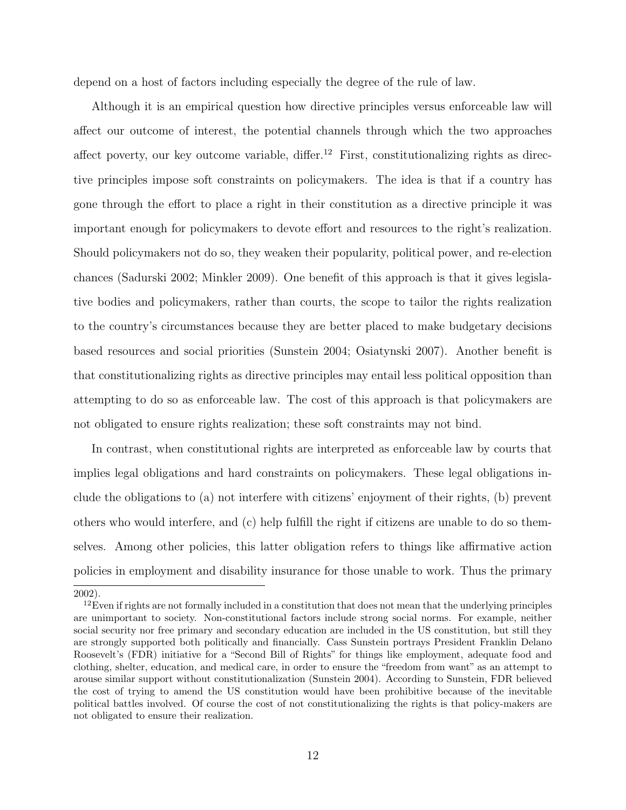depend on a host of factors including especially the degree of the rule of law.

Although it is an empirical question how directive principles versus enforceable law will affect our outcome of interest, the potential channels through which the two approaches affect poverty, our key outcome variable, differ.<sup>12</sup> First, constitutionalizing rights as directive principles impose soft constraints on policymakers. The idea is that if a country has gone through the effort to place a right in their constitution as a directive principle it was important enough for policymakers to devote effort and resources to the right's realization. Should policymakers not do so, they weaken their popularity, political power, and re-election chances (Sadurski 2002; Minkler 2009). One benefit of this approach is that it gives legislative bodies and policymakers, rather than courts, the scope to tailor the rights realization to the country's circumstances because they are better placed to make budgetary decisions based resources and social priorities (Sunstein 2004; Osiatynski 2007). Another benefit is that constitutionalizing rights as directive principles may entail less political opposition than attempting to do so as enforceable law. The cost of this approach is that policymakers are not obligated to ensure rights realization; these soft constraints may not bind.

In contrast, when constitutional rights are interpreted as enforceable law by courts that implies legal obligations and hard constraints on policymakers. These legal obligations include the obligations to (a) not interfere with citizens' enjoyment of their rights, (b) prevent others who would interfere, and (c) help fulfill the right if citizens are unable to do so themselves. Among other policies, this latter obligation refers to things like affirmative action policies in employment and disability insurance for those unable to work. Thus the primary

2002).

 $12$ Even if rights are not formally included in a constitution that does not mean that the underlying principles are unimportant to society. Non-constitutional factors include strong social norms. For example, neither social security nor free primary and secondary education are included in the US constitution, but still they are strongly supported both politically and financially. Cass Sunstein portrays President Franklin Delano Roosevelt's (FDR) initiative for a "Second Bill of Rights" for things like employment, adequate food and clothing, shelter, education, and medical care, in order to ensure the "freedom from want" as an attempt to arouse similar support without constitutionalization (Sunstein 2004). According to Sunstein, FDR believed the cost of trying to amend the US constitution would have been prohibitive because of the inevitable political battles involved. Of course the cost of not constitutionalizing the rights is that policy-makers are not obligated to ensure their realization.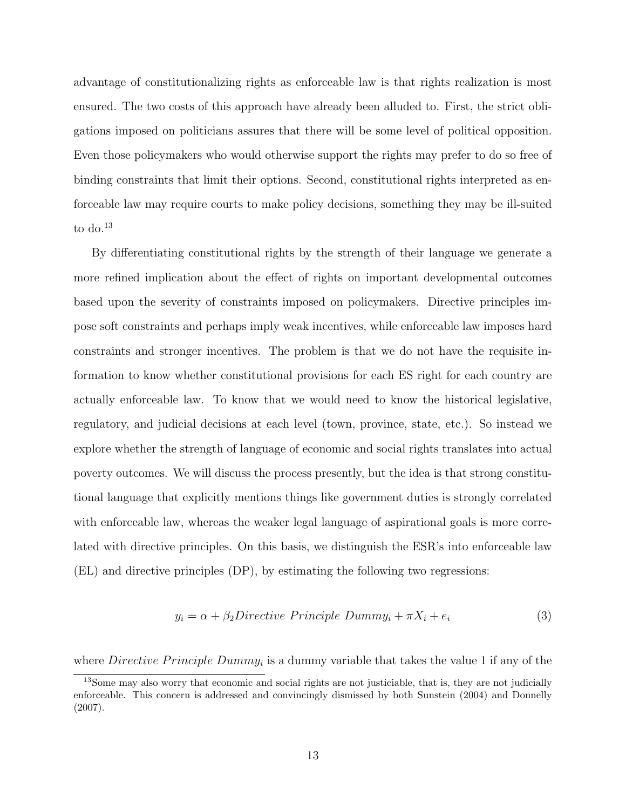advantage of constitutionalizing rights as enforceable law is that rights realization is most ensured. The two costs of this approach have already been alluded to. First, the strict obligations imposed on politicians assures that there will be some level of political opposition. Even those policymakers who would otherwise support the rights may prefer to do so free of binding constraints that limit their options. Second, constitutional rights interpreted as enforceable law may require courts to make policy decisions, something they may be ill-suited to do. $^{13}$ 

By differentiating constitutional rights by the strength of their language we generate a more refined implication about the effect of rights on important developmental outcomes based upon the severity of constraints imposed on policymakers. Directive principles impose soft constraints and perhaps imply weak incentives, while enforceable law imposes hard constraints and stronger incentives. The problem is that we do not have the requisite information to know whether constitutional provisions for each ES right for each country are actually enforceable law. To know that we would need to know the historical legislative, regulatory, and judicial decisions at each level (town, province, state, etc.). So instead we explore whether the strength of language of economic and social rights translates into actual poverty outcomes. We will discuss the process presently, but the idea is that strong constitutional language that explicitly mentions things like government duties is strongly correlated with enforceable law, whereas the weaker legal language of aspirational goals is more correlated with directive principles. On this basis, we distinguish the ESR's into enforceable law (EL) and directive principles (DP), by estimating the following two regressions:

$$
y_i = \alpha + \beta_2 \text{Directive Principle } \text{Dummy}_i + \pi X_i + e_i \tag{3}
$$

where *Directive Principle Dummy<sub>i</sub>* is a dummy variable that takes the value 1 if any of the

<sup>13</sup>Some may also worry that economic and social rights are not justiciable, that is, they are not judicially enforceable. This concern is addressed and convincingly dismissed by both Sunstein (2004) and Donnelly (2007).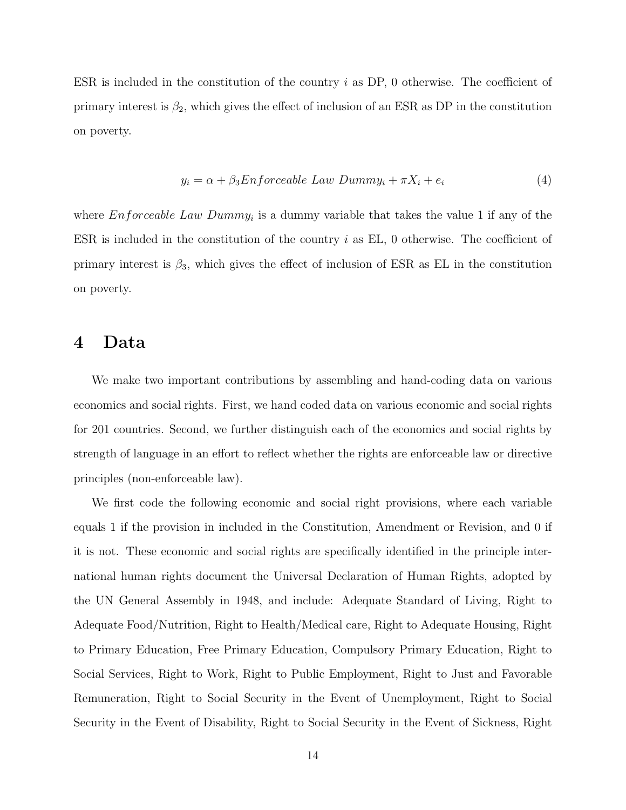ESR is included in the constitution of the country i as DP, 0 otherwise. The coefficient of primary interest is  $\beta_2$ , which gives the effect of inclusion of an ESR as DP in the constitution on poverty.

$$
y_i = \alpha + \beta_3 Enforceable Law Dumm y_i + \pi X_i + e_i \tag{4}
$$

where  $Enforceable Law Dumm y_i$  is a dummy variable that takes the value 1 if any of the ESR is included in the constitution of the country  $i$  as EL, 0 otherwise. The coefficient of primary interest is  $\beta_3$ , which gives the effect of inclusion of ESR as EL in the constitution on poverty.

### 4 Data

We make two important contributions by assembling and hand-coding data on various economics and social rights. First, we hand coded data on various economic and social rights for 201 countries. Second, we further distinguish each of the economics and social rights by strength of language in an effort to reflect whether the rights are enforceable law or directive principles (non-enforceable law).

We first code the following economic and social right provisions, where each variable equals 1 if the provision in included in the Constitution, Amendment or Revision, and 0 if it is not. These economic and social rights are specifically identified in the principle international human rights document the Universal Declaration of Human Rights, adopted by the UN General Assembly in 1948, and include: Adequate Standard of Living, Right to Adequate Food/Nutrition, Right to Health/Medical care, Right to Adequate Housing, Right to Primary Education, Free Primary Education, Compulsory Primary Education, Right to Social Services, Right to Work, Right to Public Employment, Right to Just and Favorable Remuneration, Right to Social Security in the Event of Unemployment, Right to Social Security in the Event of Disability, Right to Social Security in the Event of Sickness, Right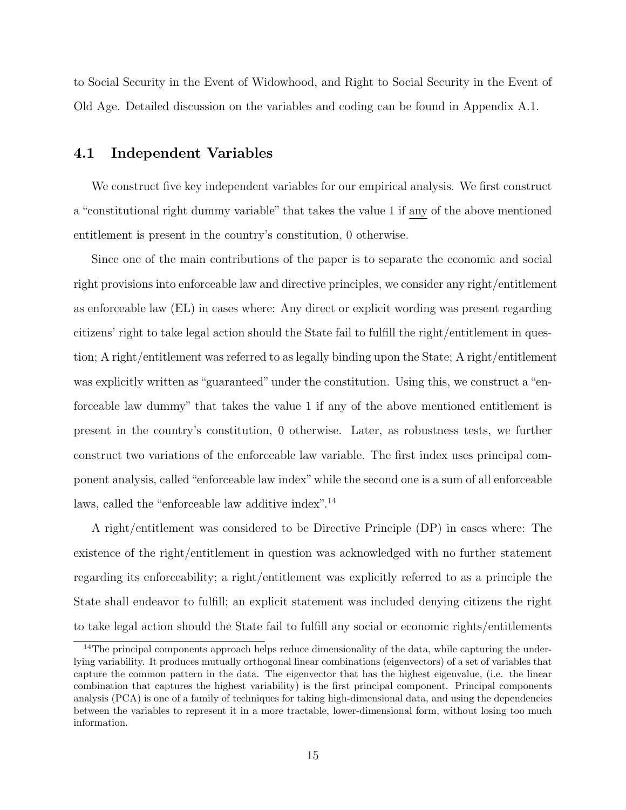to Social Security in the Event of Widowhood, and Right to Social Security in the Event of Old Age. Detailed discussion on the variables and coding can be found in Appendix A.1.

#### 4.1 Independent Variables

We construct five key independent variables for our empirical analysis. We first construct a "constitutional right dummy variable" that takes the value 1 if any of the above mentioned entitlement is present in the country's constitution, 0 otherwise.

Since one of the main contributions of the paper is to separate the economic and social right provisions into enforceable law and directive principles, we consider any right/entitlement as enforceable law (EL) in cases where: Any direct or explicit wording was present regarding citizens' right to take legal action should the State fail to fulfill the right/entitlement in question; A right/entitlement was referred to as legally binding upon the State; A right/entitlement was explicitly written as "guaranteed" under the constitution. Using this, we construct a "enforceable law dummy" that takes the value 1 if any of the above mentioned entitlement is present in the country's constitution, 0 otherwise. Later, as robustness tests, we further construct two variations of the enforceable law variable. The first index uses principal component analysis, called"enforceable law index"while the second one is a sum of all enforceable laws, called the "enforceable law additive index".<sup>14</sup>

A right/entitlement was considered to be Directive Principle (DP) in cases where: The existence of the right/entitlement in question was acknowledged with no further statement regarding its enforceability; a right/entitlement was explicitly referred to as a principle the State shall endeavor to fulfill; an explicit statement was included denying citizens the right to take legal action should the State fail to fulfill any social or economic rights/entitlements

<sup>&</sup>lt;sup>14</sup>The principal components approach helps reduce dimensionality of the data, while capturing the underlying variability. It produces mutually orthogonal linear combinations (eigenvectors) of a set of variables that capture the common pattern in the data. The eigenvector that has the highest eigenvalue, (i.e. the linear combination that captures the highest variability) is the first principal component. Principal components analysis (PCA) is one of a family of techniques for taking high-dimensional data, and using the dependencies between the variables to represent it in a more tractable, lower-dimensional form, without losing too much information.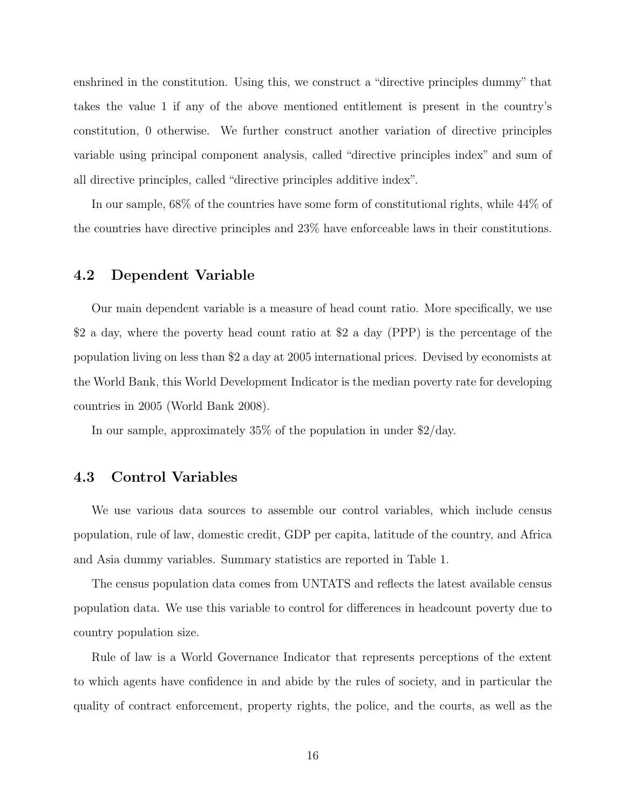enshrined in the constitution. Using this, we construct a "directive principles dummy" that takes the value 1 if any of the above mentioned entitlement is present in the country's constitution, 0 otherwise. We further construct another variation of directive principles variable using principal component analysis, called "directive principles index" and sum of all directive principles, called "directive principles additive index".

In our sample, 68% of the countries have some form of constitutional rights, while 44% of the countries have directive principles and 23% have enforceable laws in their constitutions.

#### 4.2 Dependent Variable

Our main dependent variable is a measure of head count ratio. More specifically, we use \$2 a day, where the poverty head count ratio at \$2 a day (PPP) is the percentage of the population living on less than \$2 a day at 2005 international prices. Devised by economists at the World Bank, this World Development Indicator is the median poverty rate for developing countries in 2005 (World Bank 2008).

In our sample, approximately 35% of the population in under \$2/day.

#### 4.3 Control Variables

We use various data sources to assemble our control variables, which include census population, rule of law, domestic credit, GDP per capita, latitude of the country, and Africa and Asia dummy variables. Summary statistics are reported in Table 1.

The census population data comes from UNTATS and reflects the latest available census population data. We use this variable to control for differences in headcount poverty due to country population size.

Rule of law is a World Governance Indicator that represents perceptions of the extent to which agents have confidence in and abide by the rules of society, and in particular the quality of contract enforcement, property rights, the police, and the courts, as well as the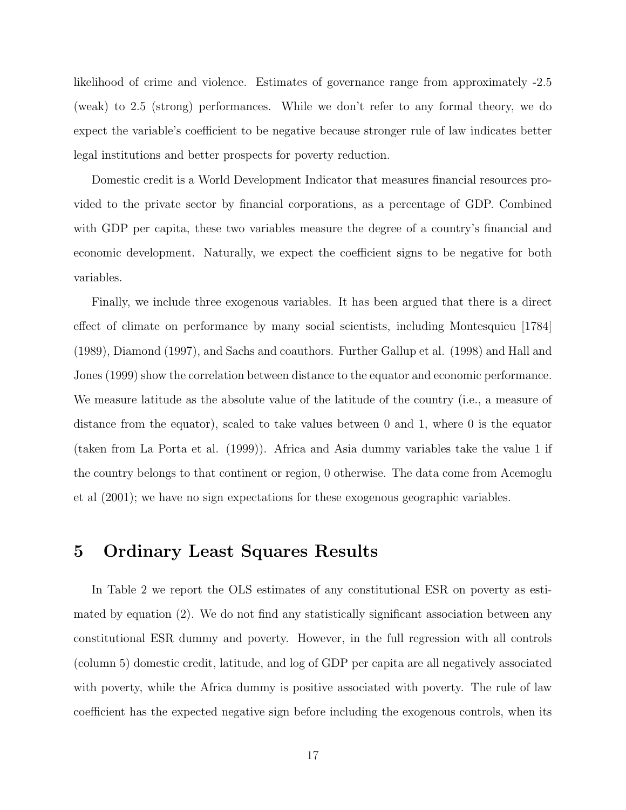likelihood of crime and violence. Estimates of governance range from approximately -2.5 (weak) to 2.5 (strong) performances. While we don't refer to any formal theory, we do expect the variable's coefficient to be negative because stronger rule of law indicates better legal institutions and better prospects for poverty reduction.

Domestic credit is a World Development Indicator that measures financial resources provided to the private sector by financial corporations, as a percentage of GDP. Combined with GDP per capita, these two variables measure the degree of a country's financial and economic development. Naturally, we expect the coefficient signs to be negative for both variables.

Finally, we include three exogenous variables. It has been argued that there is a direct effect of climate on performance by many social scientists, including Montesquieu [1784] (1989), Diamond (1997), and Sachs and coauthors. Further Gallup et al. (1998) and Hall and Jones (1999) show the correlation between distance to the equator and economic performance. We measure latitude as the absolute value of the latitude of the country (i.e., a measure of distance from the equator), scaled to take values between 0 and 1, where 0 is the equator (taken from La Porta et al. (1999)). Africa and Asia dummy variables take the value 1 if the country belongs to that continent or region, 0 otherwise. The data come from Acemoglu et al (2001); we have no sign expectations for these exogenous geographic variables.

### 5 Ordinary Least Squares Results

In Table 2 we report the OLS estimates of any constitutional ESR on poverty as estimated by equation (2). We do not find any statistically significant association between any constitutional ESR dummy and poverty. However, in the full regression with all controls (column 5) domestic credit, latitude, and log of GDP per capita are all negatively associated with poverty, while the Africa dummy is positive associated with poverty. The rule of law coefficient has the expected negative sign before including the exogenous controls, when its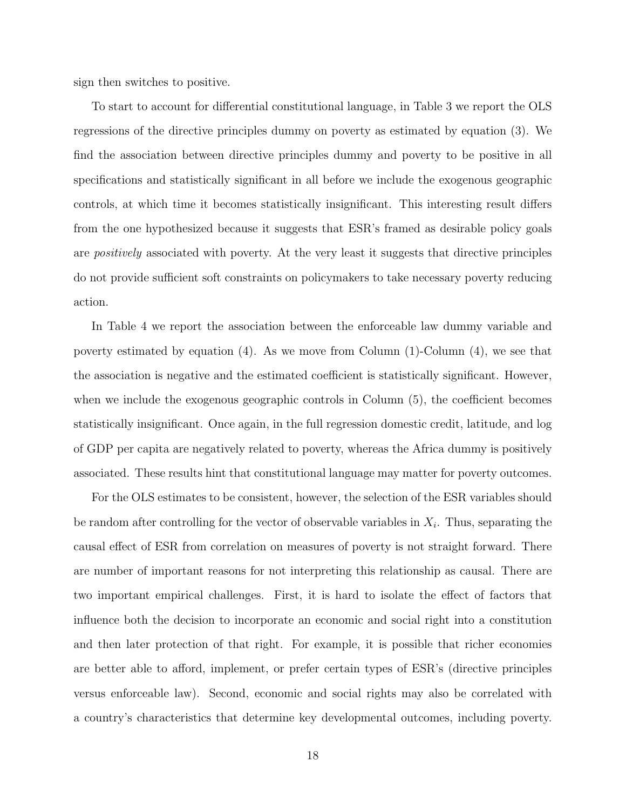sign then switches to positive.

To start to account for differential constitutional language, in Table 3 we report the OLS regressions of the directive principles dummy on poverty as estimated by equation (3). We find the association between directive principles dummy and poverty to be positive in all specifications and statistically significant in all before we include the exogenous geographic controls, at which time it becomes statistically insignificant. This interesting result differs from the one hypothesized because it suggests that ESR's framed as desirable policy goals are positively associated with poverty. At the very least it suggests that directive principles do not provide sufficient soft constraints on policymakers to take necessary poverty reducing action.

In Table 4 we report the association between the enforceable law dummy variable and poverty estimated by equation (4). As we move from Column (1)-Column (4), we see that the association is negative and the estimated coefficient is statistically significant. However, when we include the exogenous geographic controls in Column  $(5)$ , the coefficient becomes statistically insignificant. Once again, in the full regression domestic credit, latitude, and log of GDP per capita are negatively related to poverty, whereas the Africa dummy is positively associated. These results hint that constitutional language may matter for poverty outcomes.

For the OLS estimates to be consistent, however, the selection of the ESR variables should be random after controlling for the vector of observable variables in  $X_i$ . Thus, separating the causal effect of ESR from correlation on measures of poverty is not straight forward. There are number of important reasons for not interpreting this relationship as causal. There are two important empirical challenges. First, it is hard to isolate the effect of factors that influence both the decision to incorporate an economic and social right into a constitution and then later protection of that right. For example, it is possible that richer economies are better able to afford, implement, or prefer certain types of ESR's (directive principles versus enforceable law). Second, economic and social rights may also be correlated with a country's characteristics that determine key developmental outcomes, including poverty.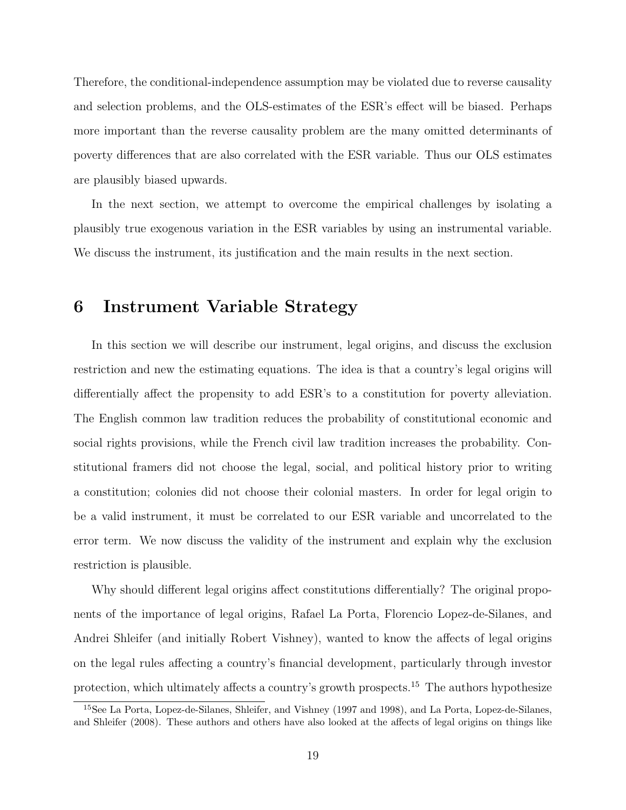Therefore, the conditional-independence assumption may be violated due to reverse causality and selection problems, and the OLS-estimates of the ESR's effect will be biased. Perhaps more important than the reverse causality problem are the many omitted determinants of poverty differences that are also correlated with the ESR variable. Thus our OLS estimates are plausibly biased upwards.

In the next section, we attempt to overcome the empirical challenges by isolating a plausibly true exogenous variation in the ESR variables by using an instrumental variable. We discuss the instrument, its justification and the main results in the next section.

### 6 Instrument Variable Strategy

In this section we will describe our instrument, legal origins, and discuss the exclusion restriction and new the estimating equations. The idea is that a country's legal origins will differentially affect the propensity to add ESR's to a constitution for poverty alleviation. The English common law tradition reduces the probability of constitutional economic and social rights provisions, while the French civil law tradition increases the probability. Constitutional framers did not choose the legal, social, and political history prior to writing a constitution; colonies did not choose their colonial masters. In order for legal origin to be a valid instrument, it must be correlated to our ESR variable and uncorrelated to the error term. We now discuss the validity of the instrument and explain why the exclusion restriction is plausible.

Why should different legal origins affect constitutions differentially? The original proponents of the importance of legal origins, Rafael La Porta, Florencio Lopez-de-Silanes, and Andrei Shleifer (and initially Robert Vishney), wanted to know the affects of legal origins on the legal rules affecting a country's financial development, particularly through investor protection, which ultimately affects a country's growth prospects.<sup>15</sup> The authors hypothesize

<sup>15</sup>See La Porta, Lopez-de-Silanes, Shleifer, and Vishney (1997 and 1998), and La Porta, Lopez-de-Silanes, and Shleifer (2008). These authors and others have also looked at the affects of legal origins on things like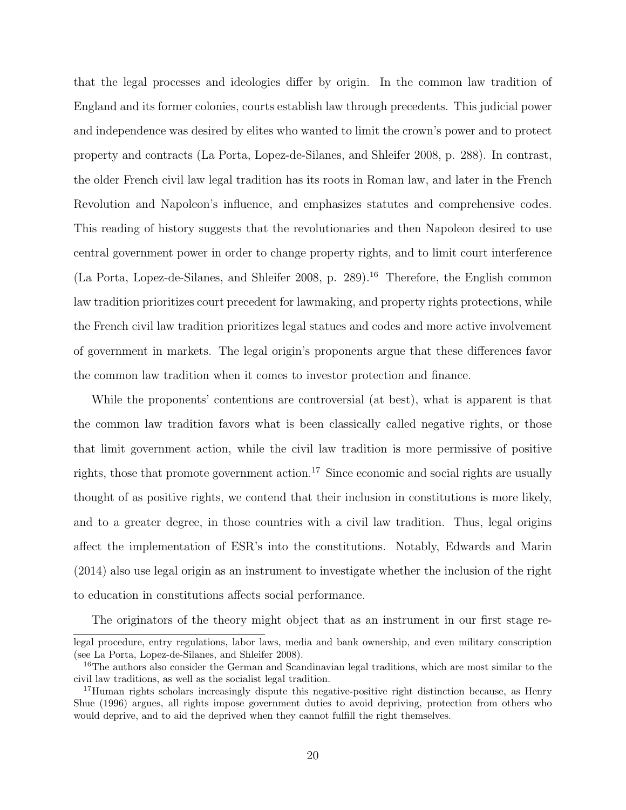that the legal processes and ideologies differ by origin. In the common law tradition of England and its former colonies, courts establish law through precedents. This judicial power and independence was desired by elites who wanted to limit the crown's power and to protect property and contracts (La Porta, Lopez-de-Silanes, and Shleifer 2008, p. 288). In contrast, the older French civil law legal tradition has its roots in Roman law, and later in the French Revolution and Napoleon's influence, and emphasizes statutes and comprehensive codes. This reading of history suggests that the revolutionaries and then Napoleon desired to use central government power in order to change property rights, and to limit court interference (La Porta, Lopez-de-Silanes, and Shleifer 2008, p. 289).<sup>16</sup> Therefore, the English common law tradition prioritizes court precedent for lawmaking, and property rights protections, while the French civil law tradition prioritizes legal statues and codes and more active involvement of government in markets. The legal origin's proponents argue that these differences favor the common law tradition when it comes to investor protection and finance.

While the proponents' contentions are controversial (at best), what is apparent is that the common law tradition favors what is been classically called negative rights, or those that limit government action, while the civil law tradition is more permissive of positive rights, those that promote government action.<sup>17</sup> Since economic and social rights are usually thought of as positive rights, we contend that their inclusion in constitutions is more likely, and to a greater degree, in those countries with a civil law tradition. Thus, legal origins affect the implementation of ESR's into the constitutions. Notably, Edwards and Marin (2014) also use legal origin as an instrument to investigate whether the inclusion of the right to education in constitutions affects social performance.

The originators of the theory might object that as an instrument in our first stage re-

legal procedure, entry regulations, labor laws, media and bank ownership, and even military conscription (see La Porta, Lopez-de-Silanes, and Shleifer 2008).

<sup>&</sup>lt;sup>16</sup>The authors also consider the German and Scandinavian legal traditions, which are most similar to the civil law traditions, as well as the socialist legal tradition.

<sup>&</sup>lt;sup>17</sup>Human rights scholars increasingly dispute this negative-positive right distinction because, as Henry Shue (1996) argues, all rights impose government duties to avoid depriving, protection from others who would deprive, and to aid the deprived when they cannot fulfill the right themselves.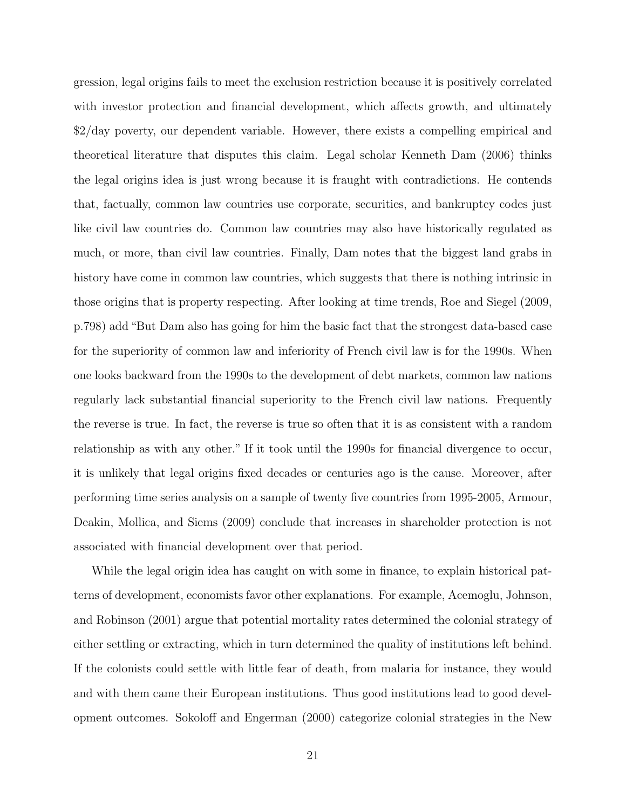gression, legal origins fails to meet the exclusion restriction because it is positively correlated with investor protection and financial development, which affects growth, and ultimately \$2/day poverty, our dependent variable. However, there exists a compelling empirical and theoretical literature that disputes this claim. Legal scholar Kenneth Dam (2006) thinks the legal origins idea is just wrong because it is fraught with contradictions. He contends that, factually, common law countries use corporate, securities, and bankruptcy codes just like civil law countries do. Common law countries may also have historically regulated as much, or more, than civil law countries. Finally, Dam notes that the biggest land grabs in history have come in common law countries, which suggests that there is nothing intrinsic in those origins that is property respecting. After looking at time trends, Roe and Siegel (2009, p.798) add "But Dam also has going for him the basic fact that the strongest data-based case for the superiority of common law and inferiority of French civil law is for the 1990s. When one looks backward from the 1990s to the development of debt markets, common law nations regularly lack substantial financial superiority to the French civil law nations. Frequently the reverse is true. In fact, the reverse is true so often that it is as consistent with a random relationship as with any other." If it took until the 1990s for financial divergence to occur, it is unlikely that legal origins fixed decades or centuries ago is the cause. Moreover, after performing time series analysis on a sample of twenty five countries from 1995-2005, Armour, Deakin, Mollica, and Siems (2009) conclude that increases in shareholder protection is not associated with financial development over that period.

While the legal origin idea has caught on with some in finance, to explain historical patterns of development, economists favor other explanations. For example, Acemoglu, Johnson, and Robinson (2001) argue that potential mortality rates determined the colonial strategy of either settling or extracting, which in turn determined the quality of institutions left behind. If the colonists could settle with little fear of death, from malaria for instance, they would and with them came their European institutions. Thus good institutions lead to good development outcomes. Sokoloff and Engerman (2000) categorize colonial strategies in the New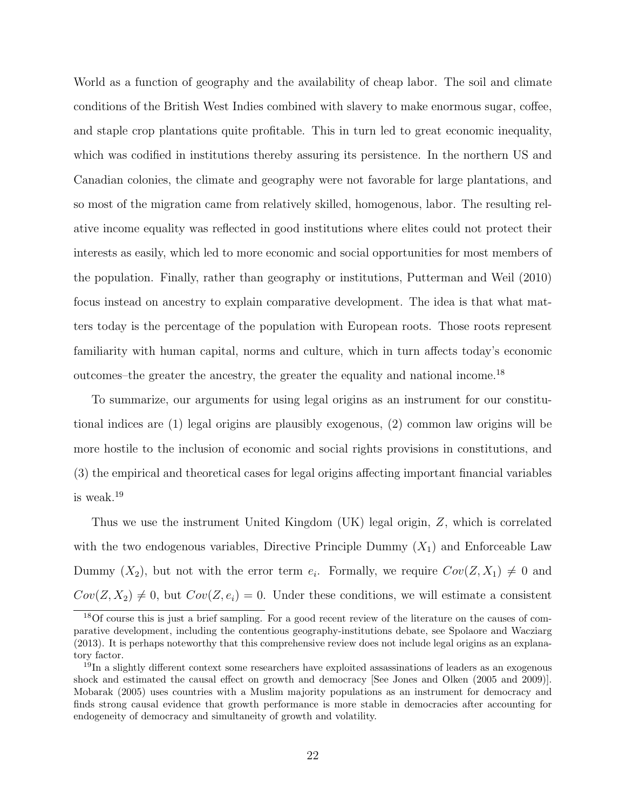World as a function of geography and the availability of cheap labor. The soil and climate conditions of the British West Indies combined with slavery to make enormous sugar, coffee, and staple crop plantations quite profitable. This in turn led to great economic inequality, which was codified in institutions thereby assuring its persistence. In the northern US and Canadian colonies, the climate and geography were not favorable for large plantations, and so most of the migration came from relatively skilled, homogenous, labor. The resulting relative income equality was reflected in good institutions where elites could not protect their interests as easily, which led to more economic and social opportunities for most members of the population. Finally, rather than geography or institutions, Putterman and Weil (2010) focus instead on ancestry to explain comparative development. The idea is that what matters today is the percentage of the population with European roots. Those roots represent familiarity with human capital, norms and culture, which in turn affects today's economic outcomes–the greater the ancestry, the greater the equality and national income.<sup>18</sup>

To summarize, our arguments for using legal origins as an instrument for our constitutional indices are (1) legal origins are plausibly exogenous, (2) common law origins will be more hostile to the inclusion of economic and social rights provisions in constitutions, and (3) the empirical and theoretical cases for legal origins affecting important financial variables is weak.<sup>19</sup>

Thus we use the instrument United Kingdom (UK) legal origin, Z, which is correlated with the two endogenous variables, Directive Principle Dummy  $(X_1)$  and Enforceable Law Dummy  $(X_2)$ , but not with the error term  $e_i$ . Formally, we require  $Cov(Z, X_1) \neq 0$  and  $Cov(Z, X_2) \neq 0$ , but  $Cov(Z, e_i) = 0$ . Under these conditions, we will estimate a consistent

<sup>18</sup>Of course this is just a brief sampling. For a good recent review of the literature on the causes of comparative development, including the contentious geography-institutions debate, see Spolaore and Wacziarg (2013). It is perhaps noteworthy that this comprehensive review does not include legal origins as an explanatory factor.

<sup>&</sup>lt;sup>19</sup>In a slightly different context some researchers have exploited assassinations of leaders as an exogenous shock and estimated the causal effect on growth and democracy [See Jones and Olken (2005 and 2009)]. Mobarak (2005) uses countries with a Muslim majority populations as an instrument for democracy and finds strong causal evidence that growth performance is more stable in democracies after accounting for endogeneity of democracy and simultaneity of growth and volatility.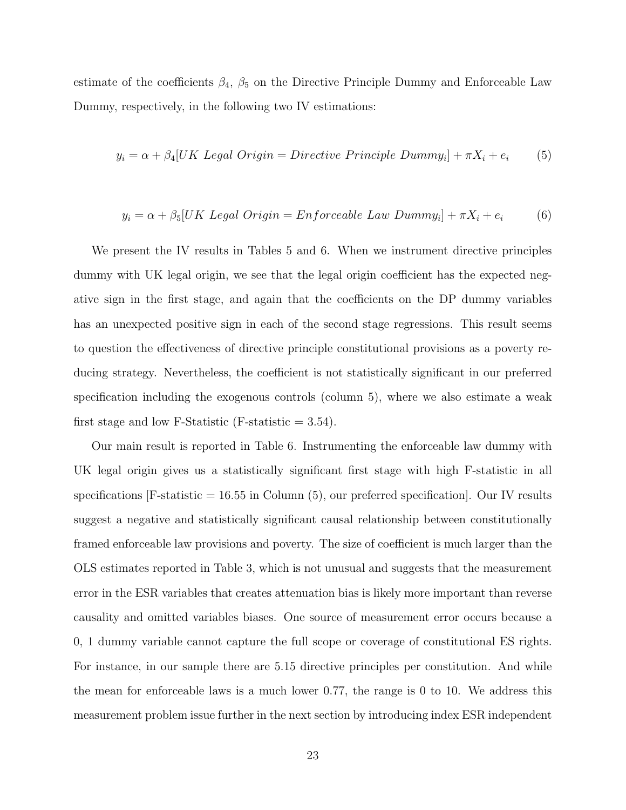estimate of the coefficients  $\beta_4$ ,  $\beta_5$  on the Directive Principle Dummy and Enforceable Law Dummy, respectively, in the following two IV estimations:

$$
y_i = \alpha + \beta_4 [UK \; Legal \; Origin = Directive \; Principle \; Dummy_i] + \pi X_i + e_i \tag{5}
$$

$$
y_i = \alpha + \beta_5 [UK \text{ Legal Origin} = Enforceable \text{ Law Dummy}_i] + \pi X_i + e_i \tag{6}
$$

We present the IV results in Tables 5 and 6. When we instrument directive principles dummy with UK legal origin, we see that the legal origin coefficient has the expected negative sign in the first stage, and again that the coefficients on the DP dummy variables has an unexpected positive sign in each of the second stage regressions. This result seems to question the effectiveness of directive principle constitutional provisions as a poverty reducing strategy. Nevertheless, the coefficient is not statistically significant in our preferred specification including the exogenous controls (column 5), where we also estimate a weak first stage and low F-Statistic (F-statistic  $= 3.54$ ).

Our main result is reported in Table 6. Instrumenting the enforceable law dummy with UK legal origin gives us a statistically significant first stage with high F-statistic in all specifications  $[F\text{-statistic} = 16.55 \text{ in Column } (5)$ , our preferred specification. Our IV results suggest a negative and statistically significant causal relationship between constitutionally framed enforceable law provisions and poverty. The size of coefficient is much larger than the OLS estimates reported in Table 3, which is not unusual and suggests that the measurement error in the ESR variables that creates attenuation bias is likely more important than reverse causality and omitted variables biases. One source of measurement error occurs because a 0, 1 dummy variable cannot capture the full scope or coverage of constitutional ES rights. For instance, in our sample there are 5.15 directive principles per constitution. And while the mean for enforceable laws is a much lower 0.77, the range is 0 to 10. We address this measurement problem issue further in the next section by introducing index ESR independent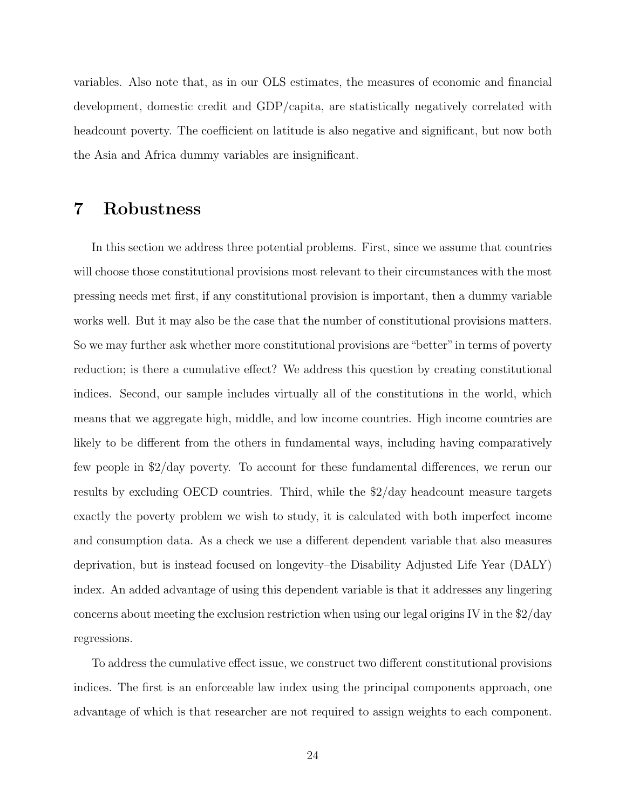variables. Also note that, as in our OLS estimates, the measures of economic and financial development, domestic credit and GDP/capita, are statistically negatively correlated with headcount poverty. The coefficient on latitude is also negative and significant, but now both the Asia and Africa dummy variables are insignificant.

### 7 Robustness

In this section we address three potential problems. First, since we assume that countries will choose those constitutional provisions most relevant to their circumstances with the most pressing needs met first, if any constitutional provision is important, then a dummy variable works well. But it may also be the case that the number of constitutional provisions matters. So we may further ask whether more constitutional provisions are"better"in terms of poverty reduction; is there a cumulative effect? We address this question by creating constitutional indices. Second, our sample includes virtually all of the constitutions in the world, which means that we aggregate high, middle, and low income countries. High income countries are likely to be different from the others in fundamental ways, including having comparatively few people in \$2/day poverty. To account for these fundamental differences, we rerun our results by excluding OECD countries. Third, while the \$2/day headcount measure targets exactly the poverty problem we wish to study, it is calculated with both imperfect income and consumption data. As a check we use a different dependent variable that also measures deprivation, but is instead focused on longevity–the Disability Adjusted Life Year (DALY) index. An added advantage of using this dependent variable is that it addresses any lingering concerns about meeting the exclusion restriction when using our legal origins IV in the \$2/day regressions.

To address the cumulative effect issue, we construct two different constitutional provisions indices. The first is an enforceable law index using the principal components approach, one advantage of which is that researcher are not required to assign weights to each component.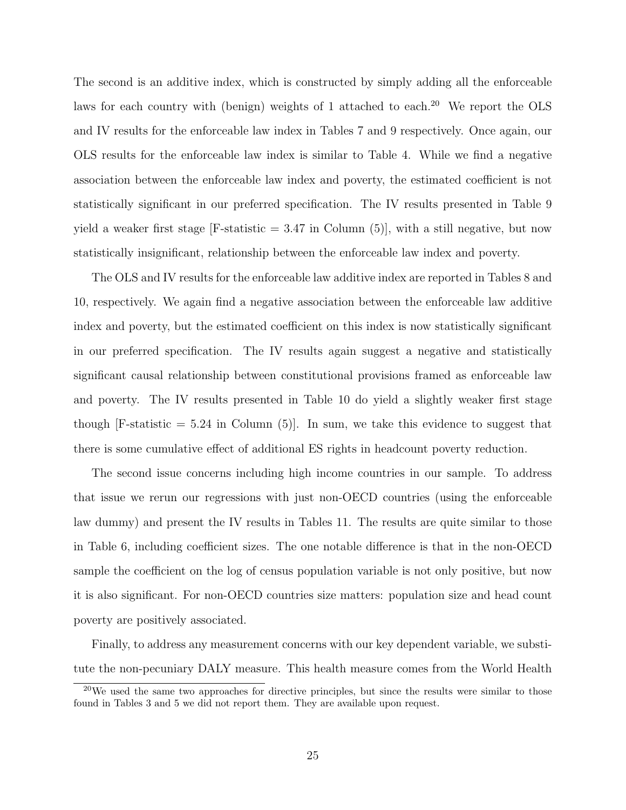The second is an additive index, which is constructed by simply adding all the enforceable laws for each country with (benign) weights of 1 attached to each. $20$  We report the OLS and IV results for the enforceable law index in Tables 7 and 9 respectively. Once again, our OLS results for the enforceable law index is similar to Table 4. While we find a negative association between the enforceable law index and poverty, the estimated coefficient is not statistically significant in our preferred specification. The IV results presented in Table 9 yield a weaker first stage  $|F\text{-statistic} = 3.47$  in Column (5), with a still negative, but now statistically insignificant, relationship between the enforceable law index and poverty.

The OLS and IV results for the enforceable law additive index are reported in Tables 8 and 10, respectively. We again find a negative association between the enforceable law additive index and poverty, but the estimated coefficient on this index is now statistically significant in our preferred specification. The IV results again suggest a negative and statistically significant causal relationship between constitutional provisions framed as enforceable law and poverty. The IV results presented in Table 10 do yield a slightly weaker first stage though  $[F\text{-statistic} = 5.24 \text{ in Column } (5)]$ . In sum, we take this evidence to suggest that there is some cumulative effect of additional ES rights in headcount poverty reduction.

The second issue concerns including high income countries in our sample. To address that issue we rerun our regressions with just non-OECD countries (using the enforceable law dummy) and present the IV results in Tables 11. The results are quite similar to those in Table 6, including coefficient sizes. The one notable difference is that in the non-OECD sample the coefficient on the log of census population variable is not only positive, but now it is also significant. For non-OECD countries size matters: population size and head count poverty are positively associated.

Finally, to address any measurement concerns with our key dependent variable, we substitute the non-pecuniary DALY measure. This health measure comes from the World Health

 $20$ We used the same two approaches for directive principles, but since the results were similar to those found in Tables 3 and 5 we did not report them. They are available upon request.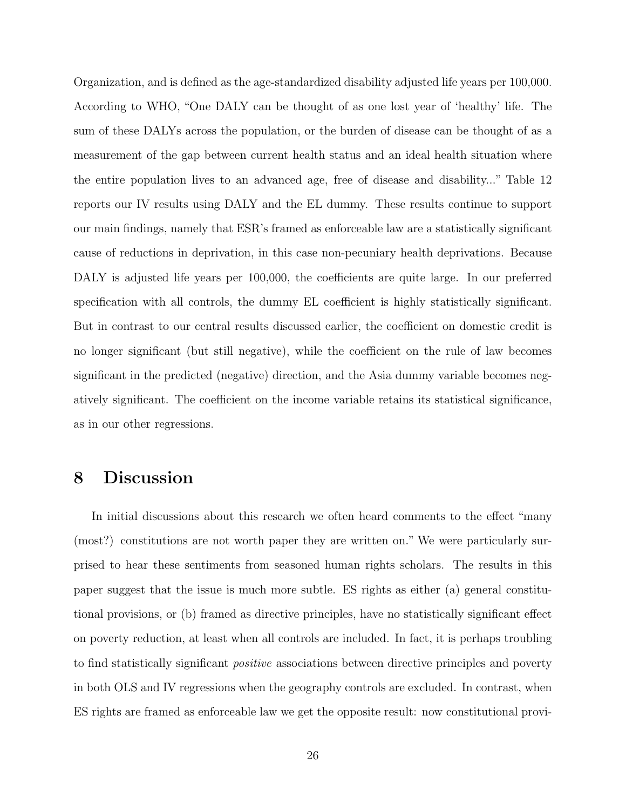Organization, and is defined as the age-standardized disability adjusted life years per 100,000. According to WHO, "One DALY can be thought of as one lost year of 'healthy' life. The sum of these DALYs across the population, or the burden of disease can be thought of as a measurement of the gap between current health status and an ideal health situation where the entire population lives to an advanced age, free of disease and disability..." Table 12 reports our IV results using DALY and the EL dummy. These results continue to support our main findings, namely that ESR's framed as enforceable law are a statistically significant cause of reductions in deprivation, in this case non-pecuniary health deprivations. Because DALY is adjusted life years per 100,000, the coefficients are quite large. In our preferred specification with all controls, the dummy EL coefficient is highly statistically significant. But in contrast to our central results discussed earlier, the coefficient on domestic credit is no longer significant (but still negative), while the coefficient on the rule of law becomes significant in the predicted (negative) direction, and the Asia dummy variable becomes negatively significant. The coefficient on the income variable retains its statistical significance, as in our other regressions.

### 8 Discussion

In initial discussions about this research we often heard comments to the effect "many (most?) constitutions are not worth paper they are written on." We were particularly surprised to hear these sentiments from seasoned human rights scholars. The results in this paper suggest that the issue is much more subtle. ES rights as either (a) general constitutional provisions, or (b) framed as directive principles, have no statistically significant effect on poverty reduction, at least when all controls are included. In fact, it is perhaps troubling to find statistically significant positive associations between directive principles and poverty in both OLS and IV regressions when the geography controls are excluded. In contrast, when ES rights are framed as enforceable law we get the opposite result: now constitutional provi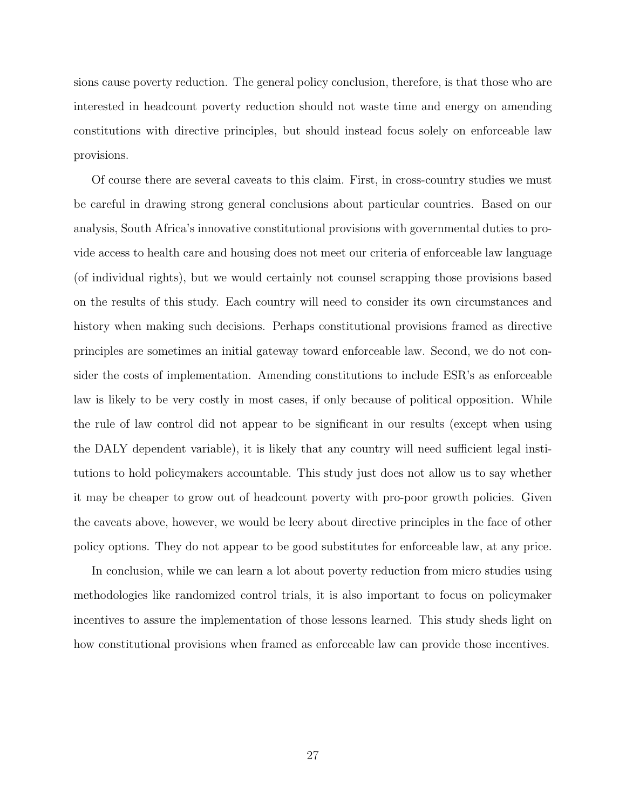sions cause poverty reduction. The general policy conclusion, therefore, is that those who are interested in headcount poverty reduction should not waste time and energy on amending constitutions with directive principles, but should instead focus solely on enforceable law provisions.

Of course there are several caveats to this claim. First, in cross-country studies we must be careful in drawing strong general conclusions about particular countries. Based on our analysis, South Africa's innovative constitutional provisions with governmental duties to provide access to health care and housing does not meet our criteria of enforceable law language (of individual rights), but we would certainly not counsel scrapping those provisions based on the results of this study. Each country will need to consider its own circumstances and history when making such decisions. Perhaps constitutional provisions framed as directive principles are sometimes an initial gateway toward enforceable law. Second, we do not consider the costs of implementation. Amending constitutions to include ESR's as enforceable law is likely to be very costly in most cases, if only because of political opposition. While the rule of law control did not appear to be significant in our results (except when using the DALY dependent variable), it is likely that any country will need sufficient legal institutions to hold policymakers accountable. This study just does not allow us to say whether it may be cheaper to grow out of headcount poverty with pro-poor growth policies. Given the caveats above, however, we would be leery about directive principles in the face of other policy options. They do not appear to be good substitutes for enforceable law, at any price.

In conclusion, while we can learn a lot about poverty reduction from micro studies using methodologies like randomized control trials, it is also important to focus on policymaker incentives to assure the implementation of those lessons learned. This study sheds light on how constitutional provisions when framed as enforceable law can provide those incentives.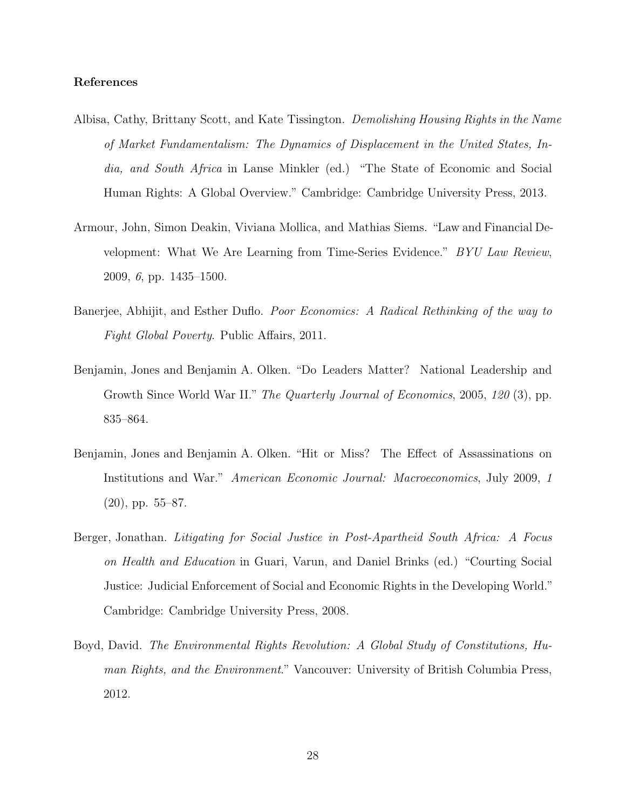#### References

- Albisa, Cathy, Brittany Scott, and Kate Tissington. Demolishing Housing Rights in the Name of Market Fundamentalism: The Dynamics of Displacement in the United States, India, and South Africa in Lanse Minkler (ed.) "The State of Economic and Social Human Rights: A Global Overview." Cambridge: Cambridge University Press, 2013.
- Armour, John, Simon Deakin, Viviana Mollica, and Mathias Siems. "Law and Financial Development: What We Are Learning from Time-Series Evidence." BYU Law Review, 2009, 6, pp. 1435–1500.
- Banerjee, Abhijit, and Esther Duflo. Poor Economics: A Radical Rethinking of the way to Fight Global Poverty. Public Affairs, 2011.
- Benjamin, Jones and Benjamin A. Olken. "Do Leaders Matter? National Leadership and Growth Since World War II." The Quarterly Journal of Economics, 2005, 120 (3), pp. 835–864.
- Benjamin, Jones and Benjamin A. Olken. "Hit or Miss? The Effect of Assassinations on Institutions and War." American Economic Journal: Macroeconomics, July 2009, 1 (20), pp. 55–87.
- Berger, Jonathan. Litigating for Social Justice in Post-Apartheid South Africa: A Focus on Health and Education in Guari, Varun, and Daniel Brinks (ed.) "Courting Social Justice: Judicial Enforcement of Social and Economic Rights in the Developing World." Cambridge: Cambridge University Press, 2008.
- Boyd, David. The Environmental Rights Revolution: A Global Study of Constitutions, Human Rights, and the Environment." Vancouver: University of British Columbia Press, 2012.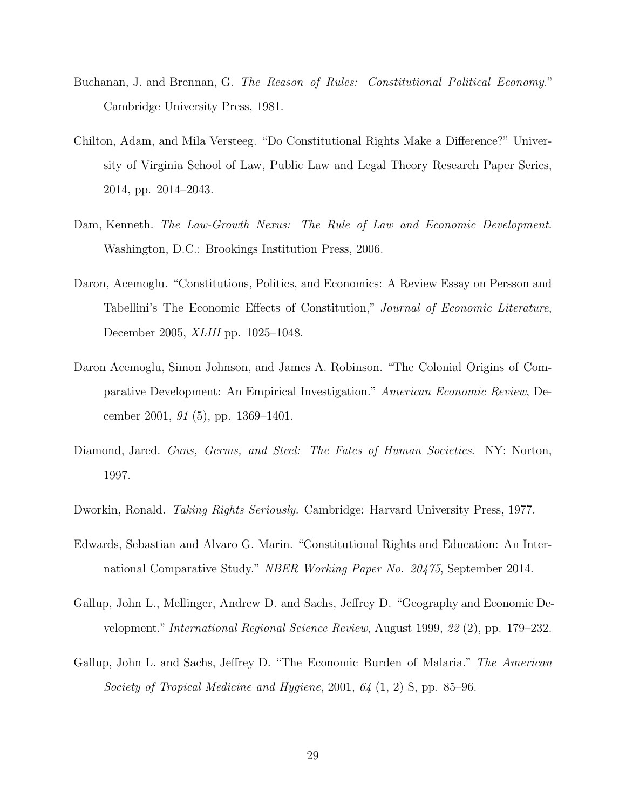- Buchanan, J. and Brennan, G. The Reason of Rules: Constitutional Political Economy." Cambridge University Press, 1981.
- Chilton, Adam, and Mila Versteeg. "Do Constitutional Rights Make a Difference?" University of Virginia School of Law, Public Law and Legal Theory Research Paper Series, 2014, pp. 2014–2043.
- Dam, Kenneth. The Law-Growth Nexus: The Rule of Law and Economic Development. Washington, D.C.: Brookings Institution Press, 2006.
- Daron, Acemoglu. "Constitutions, Politics, and Economics: A Review Essay on Persson and Tabellini's The Economic Effects of Constitution," Journal of Economic Literature, December 2005, XLIII pp. 1025–1048.
- Daron Acemoglu, Simon Johnson, and James A. Robinson. "The Colonial Origins of Comparative Development: An Empirical Investigation." American Economic Review, December 2001, 91 (5), pp. 1369–1401.
- Diamond, Jared. Guns, Germs, and Steel: The Fates of Human Societies. NY: Norton, 1997.
- Dworkin, Ronald. *Taking Rights Seriously.* Cambridge: Harvard University Press, 1977.
- Edwards, Sebastian and Alvaro G. Marin. "Constitutional Rights and Education: An International Comparative Study." NBER Working Paper No. 20475, September 2014.
- Gallup, John L., Mellinger, Andrew D. and Sachs, Jeffrey D. "Geography and Economic Development." International Regional Science Review, August 1999, 22 (2), pp. 179–232.
- Gallup, John L. and Sachs, Jeffrey D. "The Economic Burden of Malaria." The American Society of Tropical Medicine and Hygiene, 2001, 64 (1, 2) S, pp. 85–96.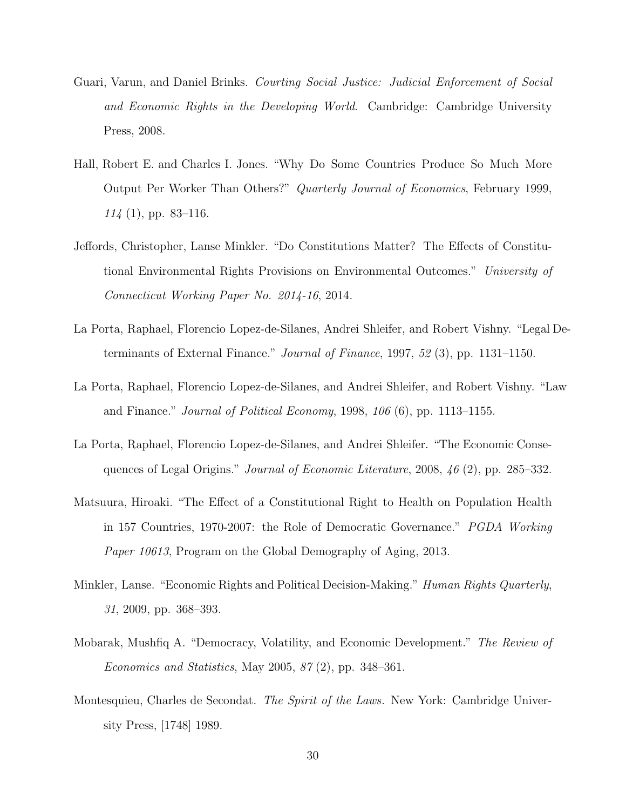- Guari, Varun, and Daniel Brinks. Courting Social Justice: Judicial Enforcement of Social and Economic Rights in the Developing World. Cambridge: Cambridge University Press, 2008.
- Hall, Robert E. and Charles I. Jones. "Why Do Some Countries Produce So Much More Output Per Worker Than Others?" Quarterly Journal of Economics, February 1999,  $114$  (1), pp. 83–116.
- Jeffords, Christopher, Lanse Minkler. "Do Constitutions Matter? The Effects of Constitutional Environmental Rights Provisions on Environmental Outcomes." University of Connecticut Working Paper No. 2014-16, 2014.
- La Porta, Raphael, Florencio Lopez-de-Silanes, Andrei Shleifer, and Robert Vishny. "Legal Determinants of External Finance." Journal of Finance, 1997, 52 (3), pp. 1131–1150.
- La Porta, Raphael, Florencio Lopez-de-Silanes, and Andrei Shleifer, and Robert Vishny. "Law and Finance." Journal of Political Economy, 1998,  $106(6)$ , pp. 1113–1155.
- La Porta, Raphael, Florencio Lopez-de-Silanes, and Andrei Shleifer. "The Economic Consequences of Legal Origins." Journal of Economic Literature, 2008, 46 (2), pp. 285–332.
- Matsuura, Hiroaki. "The Effect of a Constitutional Right to Health on Population Health in 157 Countries, 1970-2007: the Role of Democratic Governance." PGDA Working Paper 10613, Program on the Global Demography of Aging, 2013.
- Minkler, Lanse. "Economic Rights and Political Decision-Making." Human Rights Quarterly, 31, 2009, pp. 368–393.
- Mobarak, Mushfiq A. "Democracy, Volatility, and Economic Development." The Review of *Economics and Statistics*, May 2005,  $87(2)$ , pp. 348–361.
- Montesquieu, Charles de Secondat. The Spirit of the Laws. New York: Cambridge University Press, [1748] 1989.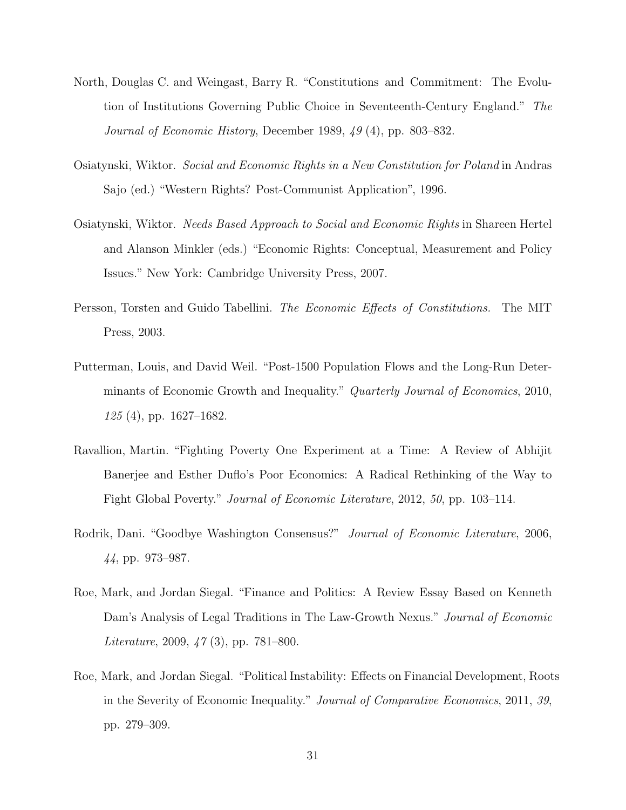- North, Douglas C. and Weingast, Barry R. "Constitutions and Commitment: The Evolution of Institutions Governing Public Choice in Seventeenth-Century England." The Journal of Economic History, December 1989, 49 (4), pp. 803–832.
- Osiatynski, Wiktor. Social and Economic Rights in a New Constitution for Poland in Andras Sajo (ed.) "Western Rights? Post-Communist Application", 1996.
- Osiatynski, Wiktor. Needs Based Approach to Social and Economic Rights in Shareen Hertel and Alanson Minkler (eds.) "Economic Rights: Conceptual, Measurement and Policy Issues." New York: Cambridge University Press, 2007.
- Persson, Torsten and Guido Tabellini. The Economic Effects of Constitutions. The MIT Press, 2003.
- Putterman, Louis, and David Weil. "Post-1500 Population Flows and the Long-Run Determinants of Economic Growth and Inequality." Quarterly Journal of Economics, 2010, 125 (4), pp. 1627–1682.
- Ravallion, Martin. "Fighting Poverty One Experiment at a Time: A Review of Abhijit Banerjee and Esther Duflo's Poor Economics: A Radical Rethinking of the Way to Fight Global Poverty." Journal of Economic Literature, 2012, 50, pp. 103–114.
- Rodrik, Dani. "Goodbye Washington Consensus?" Journal of Economic Literature, 2006, 44, pp. 973–987.
- Roe, Mark, and Jordan Siegal. "Finance and Politics: A Review Essay Based on Kenneth Dam's Analysis of Legal Traditions in The Law-Growth Nexus." *Journal of Economic* Literature, 2009, 47 (3), pp. 781–800.
- Roe, Mark, and Jordan Siegal. "Political Instability: Effects on Financial Development, Roots in the Severity of Economic Inequality." Journal of Comparative Economics, 2011, 39, pp. 279–309.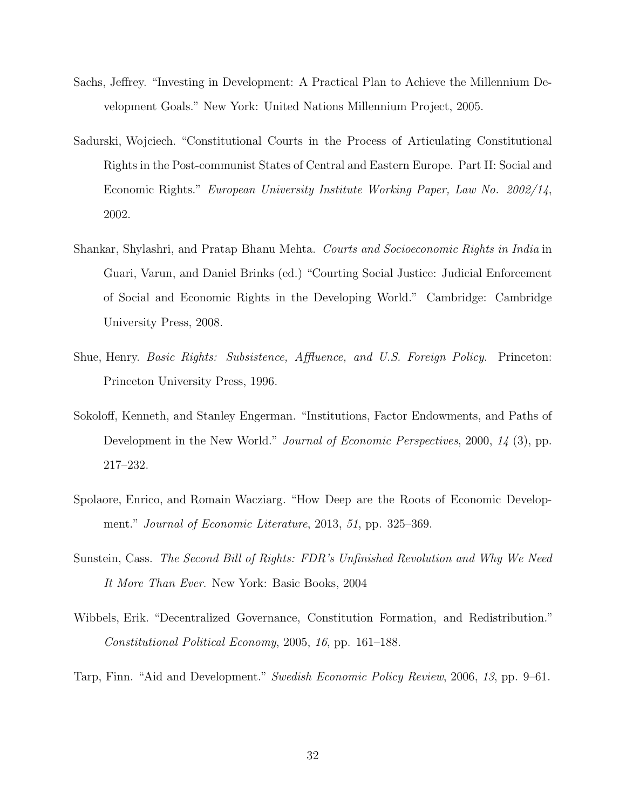- Sachs, Jeffrey. "Investing in Development: A Practical Plan to Achieve the Millennium Development Goals." New York: United Nations Millennium Project, 2005.
- Sadurski, Wojciech. "Constitutional Courts in the Process of Articulating Constitutional Rights in the Post-communist States of Central and Eastern Europe. Part II: Social and Economic Rights." European University Institute Working Paper, Law No. 2002/14, 2002.
- Shankar, Shylashri, and Pratap Bhanu Mehta. Courts and Socioeconomic Rights in India in Guari, Varun, and Daniel Brinks (ed.) "Courting Social Justice: Judicial Enforcement of Social and Economic Rights in the Developing World." Cambridge: Cambridge University Press, 2008.
- Shue, Henry. Basic Rights: Subsistence, Affluence, and U.S. Foreign Policy. Princeton: Princeton University Press, 1996.
- Sokoloff, Kenneth, and Stanley Engerman. "Institutions, Factor Endowments, and Paths of Development in the New World." Journal of Economic Perspectives, 2000, 14 (3), pp. 217–232.
- Spolaore, Enrico, and Romain Wacziarg. "How Deep are the Roots of Economic Development." Journal of Economic Literature, 2013, 51, pp. 325–369.
- Sunstein, Cass. The Second Bill of Rights: FDR's Unfinished Revolution and Why We Need It More Than Ever. New York: Basic Books, 2004
- Wibbels, Erik. "Decentralized Governance, Constitution Formation, and Redistribution." Constitutional Political Economy, 2005, 16, pp. 161–188.

Tarp, Finn. "Aid and Development." Swedish Economic Policy Review, 2006, 13, pp. 9–61.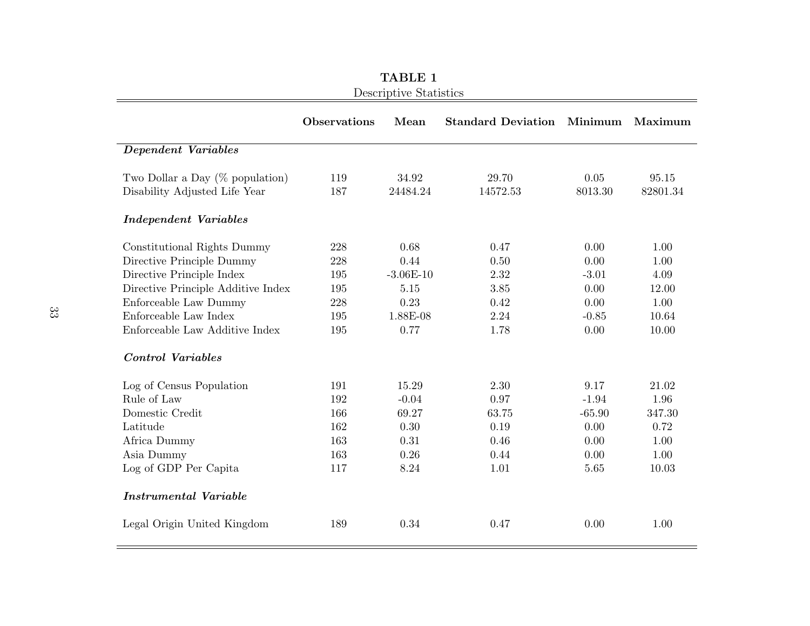|                                    | <b>Observations</b> | Mean        | <b>Standard Deviation Minimum</b> |          | Maximum  |
|------------------------------------|---------------------|-------------|-----------------------------------|----------|----------|
| Dependent Variables                |                     |             |                                   |          |          |
| Two Dollar a Day $(\%$ population) | 119                 | 34.92       | 29.70                             | 0.05     | 95.15    |
| Disability Adjusted Life Year      | 187                 | 24484.24    | 14572.53                          | 8013.30  | 82801.34 |
| <i>Independent Variables</i>       |                     |             |                                   |          |          |
| Constitutional Rights Dummy        | 228                 | 0.68        | 0.47                              | 0.00     | 1.00     |
| Directive Principle Dummy          | 228                 | 0.44        | 0.50                              | 0.00     | 1.00     |
| Directive Principle Index          | 195                 | $-3.06E-10$ | 2.32                              | $-3.01$  | 4.09     |
| Directive Principle Additive Index | 195                 | 5.15        | 3.85                              | 0.00     | 12.00    |
| Enforceable Law Dummy              | 228                 | 0.23        | 0.42                              | 0.00     | 1.00     |
| Enforceable Law Index              | 195                 | 1.88E-08    | 2.24                              | $-0.85$  | 10.64    |
| Enforceable Law Additive Index     | 195                 | 0.77        | 1.78                              | 0.00     | 10.00    |
| <b>Control Variables</b>           |                     |             |                                   |          |          |
| Log of Census Population           | 191                 | 15.29       | 2.30                              | 9.17     | 21.02    |
| Rule of Law                        | 192                 | $-0.04$     | 0.97                              | $-1.94$  | 1.96     |
| Domestic Credit                    | 166                 | 69.27       | 63.75                             | $-65.90$ | 347.30   |
| Latitude                           | 162                 | 0.30        | 0.19                              | 0.00     | 0.72     |
| Africa Dummy                       | 163                 | 0.31        | 0.46                              | 0.00     | 1.00     |
| Asia Dummy                         | 163                 | 0.26        | 0.44                              | 0.00     | 1.00     |
| Log of GDP Per Capita              | 117                 | 8.24        | 1.01                              | 5.65     | 10.03    |
| <b>Instrumental Variable</b>       |                     |             |                                   |          |          |
| Legal Origin United Kingdom        | 189                 | 0.34        | 0.47                              | 0.00     | 1.00     |

 $=$ 

TABLE 1Descriptive Statistics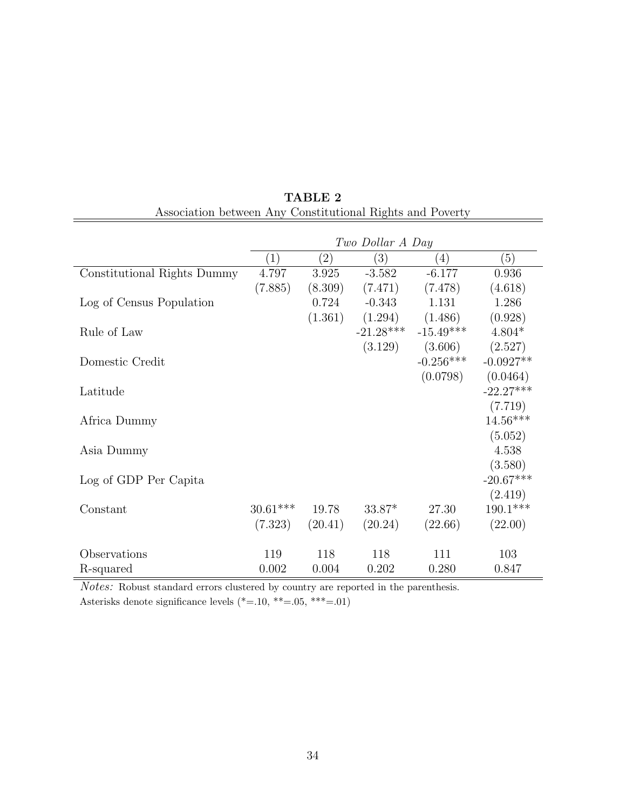|                             | Two Dollar A Day |                   |                  |                     |             |  |  |
|-----------------------------|------------------|-------------------|------------------|---------------------|-------------|--|--|
|                             | $\left(1\right)$ | $\left( 2\right)$ | $\left(3\right)$ | (4)                 | (5)         |  |  |
| Constitutional Rights Dummy | 4.797            | 3.925             | $-3.582$         | $-6.177$            | 0.936       |  |  |
|                             | (7.885)          | (8.309)           | (7.471)          | (7.478)             | (4.618)     |  |  |
| Log of Census Population    |                  | 0.724             | $-0.343$         | 1.131               | 1.286       |  |  |
|                             |                  | (1.361)           |                  | $(1.294)$ $(1.486)$ | (0.928)     |  |  |
| Rule of Law                 |                  |                   | $-21.28***$      | $-15.49***$         | $4.804*$    |  |  |
|                             |                  |                   | (3.129)          | (3.606)             | (2.527)     |  |  |
| Domestic Credit             |                  |                   |                  | $-0.256***$         | $-0.0927**$ |  |  |
|                             |                  |                   |                  | (0.0798)            | (0.0464)    |  |  |
| Latitude                    |                  |                   |                  |                     | $-22.27***$ |  |  |
|                             |                  |                   |                  |                     | (7.719)     |  |  |
| Africa Dummy                |                  |                   |                  |                     | $14.56***$  |  |  |
|                             |                  |                   |                  |                     | (5.052)     |  |  |
| Asia Dummy                  |                  |                   |                  |                     | 4.538       |  |  |
|                             |                  |                   |                  |                     | (3.580)     |  |  |
| Log of GDP Per Capita       |                  |                   |                  |                     | $-20.67***$ |  |  |
|                             |                  |                   |                  |                     | (2.419)     |  |  |
| Constant                    | $30.61***$       | 19.78             | $33.87*$         | 27.30               | $190.1***$  |  |  |
|                             | (7.323)          | (20.41)           | (20.24)          | (22.66)             | (22.00)     |  |  |
|                             |                  |                   |                  |                     |             |  |  |
| Observations                | 119              | 118               | 118              | 111                 | 103         |  |  |
| R-squared                   | 0.002            | 0.004             | 0.202            | 0.280               | 0.847       |  |  |

TABLE 2 Association between Any Constitutional Rights and Poverty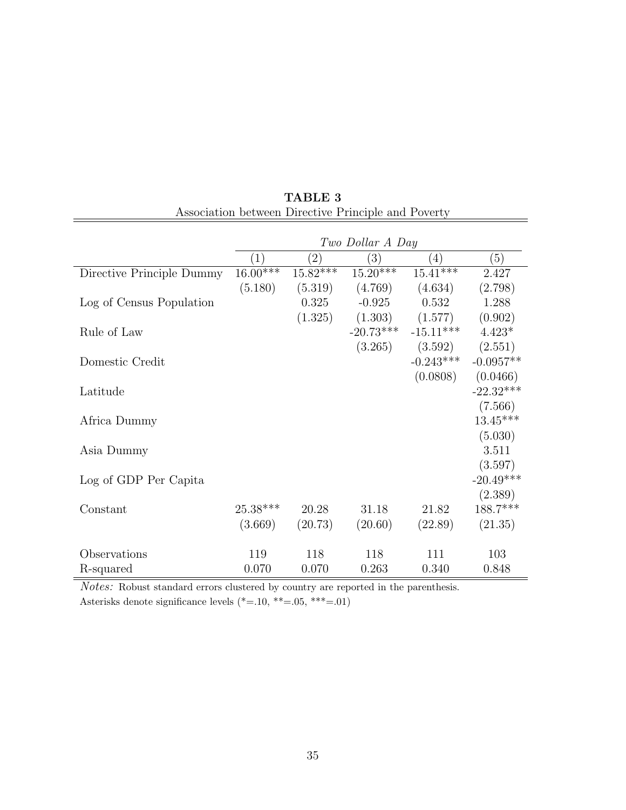|                           | Two Dollar A Day |            |             |                     |             |  |
|---------------------------|------------------|------------|-------------|---------------------|-------------|--|
|                           | (1)              | (2)        | (3)         | (4)                 | (5)         |  |
| Directive Principle Dummy | $16.00***$       | $15.82***$ | $15.20***$  | $15.41***$          | 2.427       |  |
|                           | (5.180)          | (5.319)    | (4.769)     | (4.634)             | (2.798)     |  |
| Log of Census Population  |                  | 0.325      | $-0.925$    | 0.532               | 1.288       |  |
|                           |                  | (1.325)    |             | $(1.303)$ $(1.577)$ | (0.902)     |  |
| Rule of Law               |                  |            | $-20.73***$ | $-15.11***$         | $4.423*$    |  |
|                           |                  |            | (3.265)     | (3.592)             | (2.551)     |  |
| Domestic Credit           |                  |            |             | $-0.243***$         | $-0.0957**$ |  |
|                           |                  |            |             | (0.0808)            | (0.0466)    |  |
| Latitude                  |                  |            |             |                     | $-22.32***$ |  |
|                           |                  |            |             |                     | (7.566)     |  |
| Africa Dummy              |                  |            |             |                     | $13.45***$  |  |
|                           |                  |            |             |                     | (5.030)     |  |
| Asia Dummy                |                  |            |             |                     | 3.511       |  |
|                           |                  |            |             |                     | (3.597)     |  |
| Log of GDP Per Capita     |                  |            |             |                     | $-20.49***$ |  |
|                           |                  |            |             |                     | (2.389)     |  |
| Constant                  | $25.38***$       | 20.28      | 31.18       | 21.82               | 188.7***    |  |
|                           | (3.669)          | (20.73)    | (20.60)     | (22.89)             | (21.35)     |  |
|                           |                  |            |             |                     |             |  |
| Observations              | 119              | 118        | 118         | 111                 | 103         |  |
| R-squared                 | 0.070            | 0.070      | 0.263       | 0.340               | 0.848       |  |

TABLE 3 Association between Directive Principle and Poverty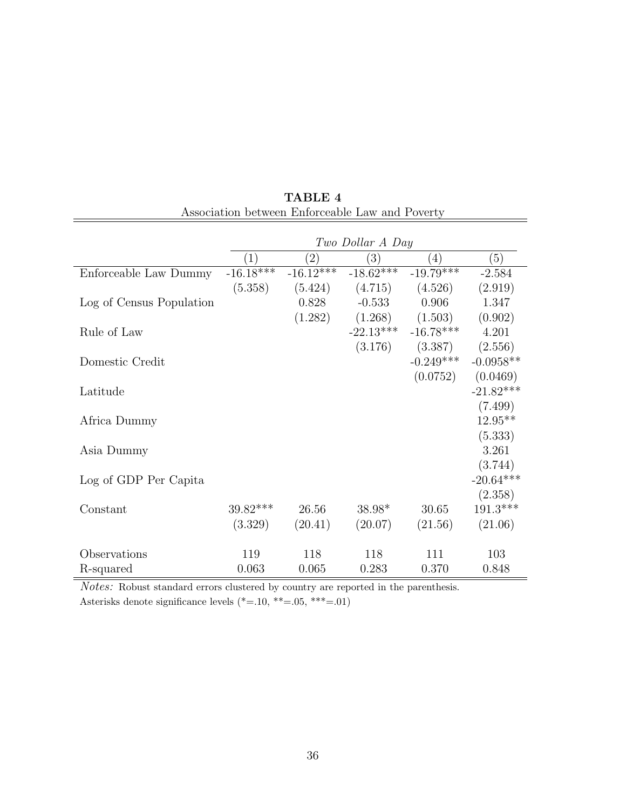|                          | Two Dollar A Day |                   |             |             |             |  |
|--------------------------|------------------|-------------------|-------------|-------------|-------------|--|
|                          | (1)              | $\left( 2\right)$ | (3)         | (4)         | (5)         |  |
| Enforceable Law Dummy    | $-16.18***$      | $-16.12***$       | $-18.62***$ | $-19.79***$ | $-2.584$    |  |
|                          | (5.358)          | (5.424)           | (4.715)     | (4.526)     | (2.919)     |  |
| Log of Census Population |                  | 0.828             | $-0.533$    | 0.906       | 1.347       |  |
|                          |                  | (1.282)           | (1.268)     | (1.503)     | (0.902)     |  |
| Rule of Law              |                  |                   | $-22.13***$ | $-16.78***$ | 4.201       |  |
|                          |                  |                   | (3.176)     | (3.387)     | (2.556)     |  |
| Domestic Credit          |                  |                   |             | $-0.249***$ | $-0.0958**$ |  |
|                          |                  |                   |             | (0.0752)    | (0.0469)    |  |
| Latitude                 |                  |                   |             |             | $-21.82***$ |  |
|                          |                  |                   |             |             | (7.499)     |  |
| Africa Dummy             |                  |                   |             |             | $12.95**$   |  |
|                          |                  |                   |             |             | (5.333)     |  |
| Asia Dummy               |                  |                   |             |             | 3.261       |  |
|                          |                  |                   |             |             | (3.744)     |  |
| Log of GDP Per Capita    |                  |                   |             |             | $-20.64***$ |  |
|                          |                  |                   |             |             | (2.358)     |  |
| Constant                 | $39.82***$       | 26.56             | $38.98*$    | 30.65       | $191.3***$  |  |
|                          | (3.329)          | (20.41)           | (20.07)     | (21.56)     | (21.06)     |  |
|                          |                  |                   |             |             |             |  |
| Observations             | 119              | 118               | 118         | 111         | 103         |  |
| R-squared                | 0.063            | 0.065             | 0.283       | 0.370       | 0.848       |  |

TABLE 4 Association between Enforceable Law and Poverty

Asterisks denote significance levels  $\left(\text{*}=10,\text{~}^{\ast\ast}=\text{-}05,\text{~}^{\ast\ast\ast}=\text{-}01\right)$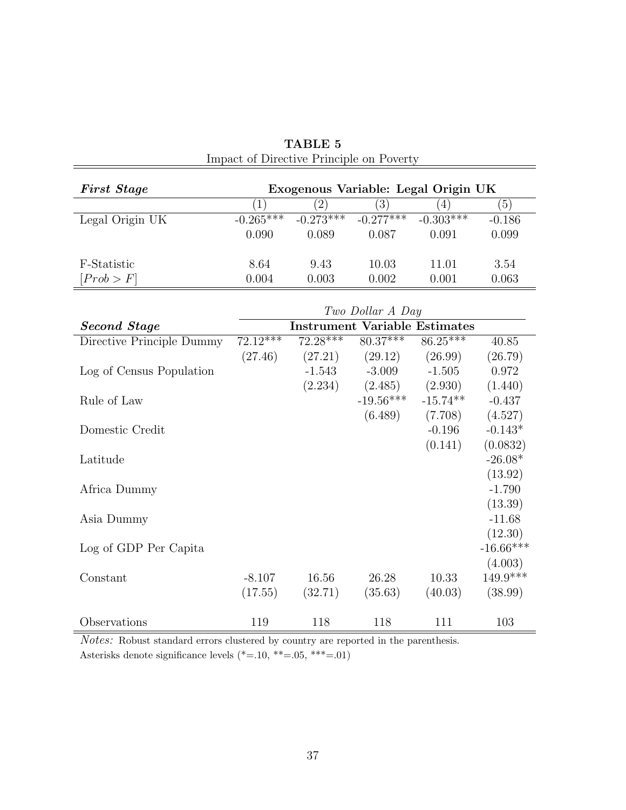| <b>First Stage</b>        | Exogenous Variable: Legal Origin UK |                   |                                      |                     |             |  |  |
|---------------------------|-------------------------------------|-------------------|--------------------------------------|---------------------|-------------|--|--|
|                           | (1)                                 | $\left( 2\right)$ | (3)                                  | (4)                 | (5)         |  |  |
| Legal Origin UK           | $-0.265***$                         | $-0.273***$       | $-0.277***$                          | $-0.303***$         | $-0.186$    |  |  |
|                           | 0.090                               | 0.089             | 0.087                                | 0.091               | 0.099       |  |  |
|                           |                                     |                   |                                      |                     |             |  |  |
| F-Statistic               | 8.64                                | 9.43              | 10.03                                | 11.01               | 3.54        |  |  |
| [Prob > F]                | 0.004                               | 0.003             | 0.002                                | 0.001               | 0.063       |  |  |
|                           |                                     |                   |                                      |                     |             |  |  |
|                           |                                     |                   | Two Dollar A Day                     |                     |             |  |  |
| <b>Second Stage</b>       |                                     |                   | <b>Instrument Variable Estimates</b> |                     |             |  |  |
| Directive Principle Dummy | $72.12***$                          | $72.28***$        | $80.37***$                           | $86.25***$          | 40.85       |  |  |
|                           | (27.46)                             |                   | $(27.21)$ $(29.12)$                  | (26.99)             | (26.79)     |  |  |
| Log of Census Population  |                                     | $-1.543$          | $-3.009$                             | $-1.505$            | 0.972       |  |  |
|                           |                                     | (2.234)           |                                      | $(2.485)$ $(2.930)$ | (1.440)     |  |  |
| Rule of Law               |                                     |                   | $-19.56***$                          | $-15.74**$          | $-0.437$    |  |  |
|                           |                                     |                   | (6.489)                              | (7.708)             | (4.527)     |  |  |
| Domestic Credit           |                                     |                   |                                      | $-0.196$            | $-0.143*$   |  |  |
|                           |                                     |                   |                                      | (0.141)             | (0.0832)    |  |  |
| Latitude                  |                                     |                   |                                      |                     | $-26.08*$   |  |  |
|                           |                                     |                   |                                      |                     | (13.92)     |  |  |
| Africa Dummy              |                                     |                   |                                      |                     | $-1.790$    |  |  |
|                           |                                     |                   |                                      |                     | (13.39)     |  |  |
| Asia Dummy                |                                     |                   |                                      |                     | $-11.68$    |  |  |
|                           |                                     |                   |                                      |                     | (12.30)     |  |  |
| Log of GDP Per Capita     |                                     |                   |                                      |                     | $-16.66***$ |  |  |
|                           |                                     |                   |                                      |                     | (4.003)     |  |  |
| Constant                  | $-8.107$                            | 16.56             | 26.28                                | 10.33               | 149.9***    |  |  |
|                           | (17.55)                             | (32.71)           | (35.63)                              | (40.03)             | (38.99)     |  |  |
|                           |                                     |                   |                                      |                     |             |  |  |
| Observations              | 119                                 | 118               | 118                                  | 111                 | 103         |  |  |

TABLE 5 Impact of Directive Principle on Poverty

Notes: Robust standard errors clustered by country are reported in the parenthesis. Asterisks denote significance levels  $\left(\text{*}=10,\text{~}^{\ast\ast}=\text{-}05,\text{~}^{\ast\ast\ast}=\text{-}01\right)$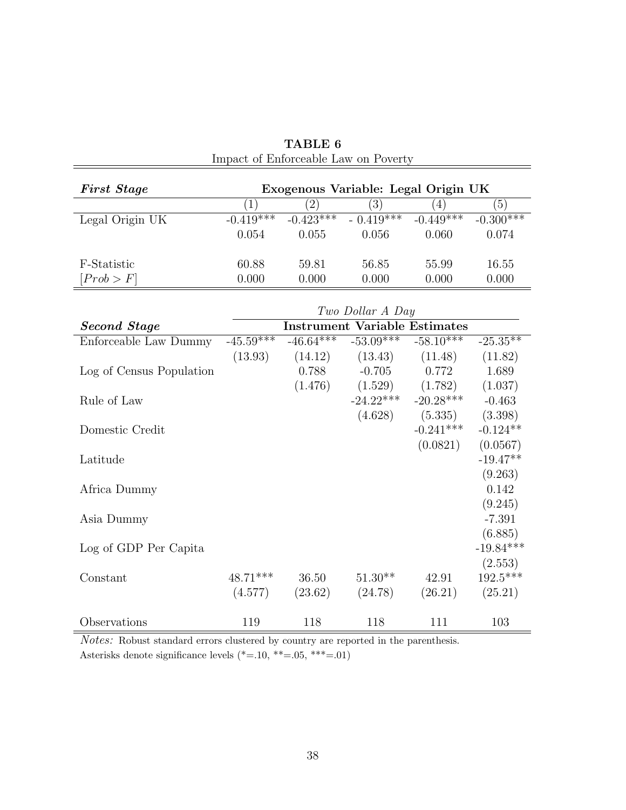| (5)<br>$-0.300***$    |  |  |  |  |  |  |  |
|-----------------------|--|--|--|--|--|--|--|
|                       |  |  |  |  |  |  |  |
|                       |  |  |  |  |  |  |  |
| 0.074                 |  |  |  |  |  |  |  |
| 16.55                 |  |  |  |  |  |  |  |
| 0.000                 |  |  |  |  |  |  |  |
| Two Dollar A Day      |  |  |  |  |  |  |  |
|                       |  |  |  |  |  |  |  |
|                       |  |  |  |  |  |  |  |
| $-25.35**$            |  |  |  |  |  |  |  |
| (11.82)               |  |  |  |  |  |  |  |
| 1.689                 |  |  |  |  |  |  |  |
| (1.037)               |  |  |  |  |  |  |  |
| $-0.463$              |  |  |  |  |  |  |  |
| (3.398)               |  |  |  |  |  |  |  |
| $-0.124**$            |  |  |  |  |  |  |  |
| (0.0567)              |  |  |  |  |  |  |  |
| $-19.47**$            |  |  |  |  |  |  |  |
| (9.263)               |  |  |  |  |  |  |  |
| 0.142                 |  |  |  |  |  |  |  |
| (9.245)               |  |  |  |  |  |  |  |
| $-7.391$              |  |  |  |  |  |  |  |
| (6.885)               |  |  |  |  |  |  |  |
| $-19.84***$           |  |  |  |  |  |  |  |
|                       |  |  |  |  |  |  |  |
| (2.553)<br>$192.5***$ |  |  |  |  |  |  |  |
|                       |  |  |  |  |  |  |  |
| (25.21)               |  |  |  |  |  |  |  |
| 103                   |  |  |  |  |  |  |  |
|                       |  |  |  |  |  |  |  |

TABLE 6 Impact of Enforceable Law on Poverty

Notes: Robust standard errors clustered by country are reported in the parenthesis. Asterisks denote significance levels  $\left(\text{*}=10,\text{~}^{\ast\ast}=\text{-}05,\text{~}^{\ast\ast\ast}=\text{-}01\right)$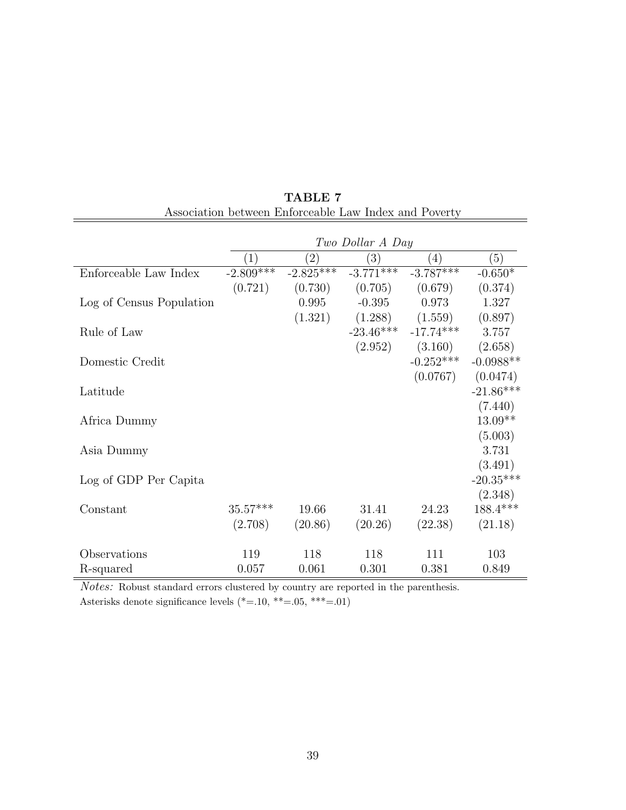|                          | Two Dollar A Day |             |             |             |             |  |  |
|--------------------------|------------------|-------------|-------------|-------------|-------------|--|--|
|                          | (1)              | (2)         | (3)         | (4)         | (5)         |  |  |
| Enforceable Law Index    | $-2.809***$      | $-2.825***$ | $-3.771***$ | $-3.787***$ | $-0.650*$   |  |  |
|                          | (0.721)          | (0.730)     | (0.705)     | (0.679)     | (0.374)     |  |  |
| Log of Census Population |                  | 0.995       | $-0.395$    | 0.973       | 1.327       |  |  |
|                          |                  | (1.321)     | (1.288)     | (1.559)     | (0.897)     |  |  |
| Rule of Law              |                  |             | $-23.46***$ | $-17.74***$ | 3.757       |  |  |
|                          |                  |             | (2.952)     | (3.160)     | (2.658)     |  |  |
| Domestic Credit          |                  |             |             | $-0.252***$ | $-0.0988**$ |  |  |
|                          |                  |             |             | (0.0767)    | (0.0474)    |  |  |
| Latitude                 |                  |             |             |             | $-21.86***$ |  |  |
|                          |                  |             |             |             | (7.440)     |  |  |
| Africa Dummy             |                  |             |             |             | $13.09**$   |  |  |
|                          |                  |             |             |             | (5.003)     |  |  |
| Asia Dummy               |                  |             |             |             | 3.731       |  |  |
|                          |                  |             |             |             | (3.491)     |  |  |
| Log of GDP Per Capita    |                  |             |             |             | $-20.35***$ |  |  |
|                          |                  |             |             |             | (2.348)     |  |  |
| Constant                 | $35.57***$       | 19.66       | 31.41       | 24.23       | 188.4***    |  |  |
|                          | (2.708)          | (20.86)     | (20.26)     | (22.38)     | (21.18)     |  |  |
|                          |                  |             |             |             |             |  |  |
| Observations             | 119              | 118         | 118         | 111         | 103         |  |  |
| R-squared                | 0.057            | 0.061       | 0.301       | 0.381       | 0.849       |  |  |

TABLE 7 Association between Enforceable Law Index and Poverty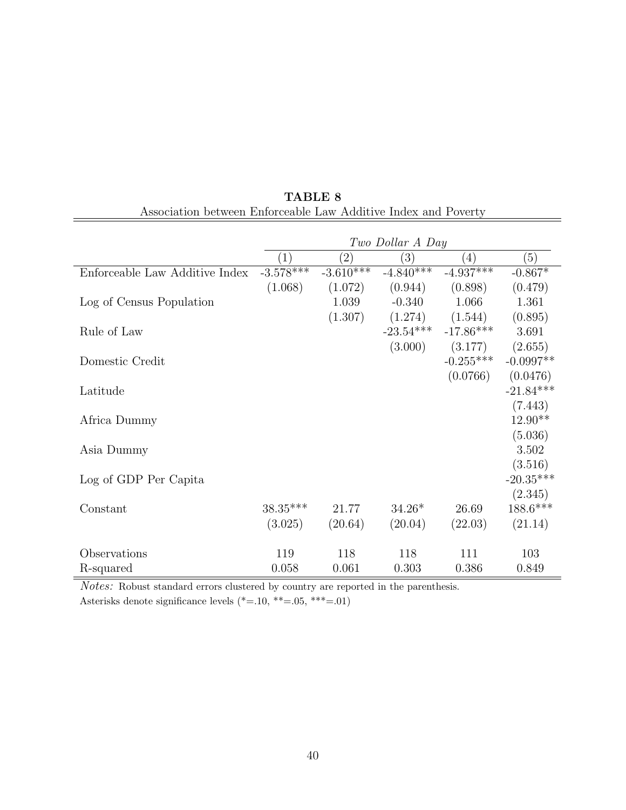|                                                                                          | Two Dollar A Day |                   |             |             |             |  |  |
|------------------------------------------------------------------------------------------|------------------|-------------------|-------------|-------------|-------------|--|--|
|                                                                                          | $\left(1\right)$ | $\left( 2\right)$ | (3)         | (4)         | (5)         |  |  |
| Enforceable Law Additive Index                                                           | $-3.578***$      | $-3.610***$       | $-4.840***$ | $-4.937***$ | $-0.867*$   |  |  |
|                                                                                          | (1.068)          | (1.072)           | (0.944)     | (0.898)     | (0.479)     |  |  |
| Log of Census Population                                                                 |                  | 1.039             | $-0.340$    | 1.066       | 1.361       |  |  |
|                                                                                          |                  | (1.307)           | (1.274)     | (1.544)     | (0.895)     |  |  |
| Rule of Law                                                                              |                  |                   | $-23.54***$ | $-17.86***$ | 3.691       |  |  |
|                                                                                          |                  |                   | (3.000)     | (3.177)     | (2.655)     |  |  |
| Domestic Credit                                                                          |                  |                   |             | $-0.255***$ | $-0.0997**$ |  |  |
|                                                                                          |                  |                   |             | (0.0766)    | (0.0476)    |  |  |
| Latitude                                                                                 |                  |                   |             |             | $-21.84***$ |  |  |
|                                                                                          |                  |                   |             |             | (7.443)     |  |  |
| Africa Dummy                                                                             |                  |                   |             |             | $12.90**$   |  |  |
|                                                                                          |                  |                   |             |             | (5.036)     |  |  |
| Asia Dummy                                                                               |                  |                   |             |             | 3.502       |  |  |
|                                                                                          |                  |                   |             |             | (3.516)     |  |  |
| Log of GDP Per Capita                                                                    |                  |                   |             |             | $-20.35***$ |  |  |
|                                                                                          |                  |                   |             |             | (2.345)     |  |  |
| Constant                                                                                 | $38.35***$       | 21.77             | $34.26*$    | 26.69       | $188.6***$  |  |  |
|                                                                                          | (3.025)          | (20.64)           | (20.04)     | (22.03)     | (21.14)     |  |  |
|                                                                                          |                  |                   |             |             |             |  |  |
|                                                                                          |                  | 118               | 118         |             | 103         |  |  |
| R-squared                                                                                | 0.058            | 0.061             | 0.303       | 0.386       | 0.849       |  |  |
| Observations<br>$N_{-1}$ , $N_{-1}$ , $N_{-1}$<br>$\mathbf{1}$ $\mathbf{1}$ $\mathbf{1}$ | 119              |                   | $\cdots$    | 111         |             |  |  |

TABLE 8 Association between Enforceable Law Additive Index and Poverty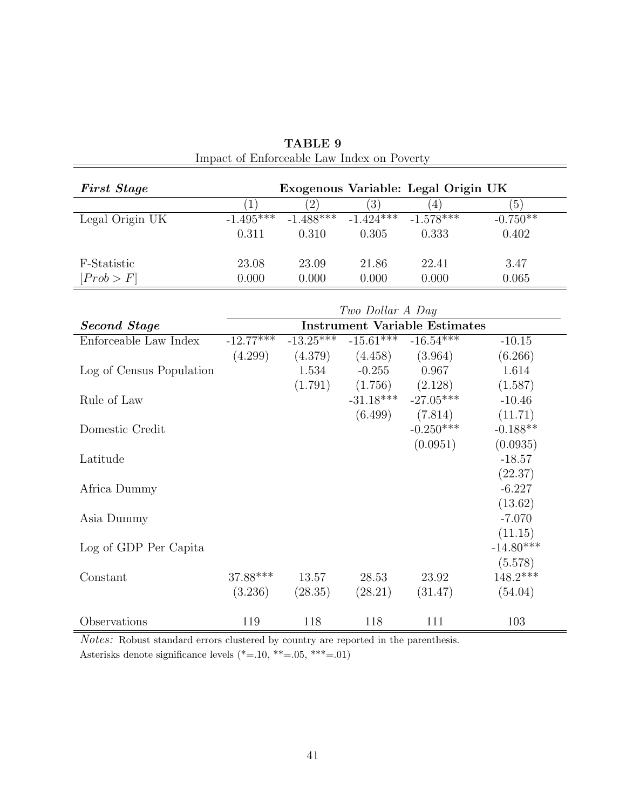| <b>First Stage</b>       |             |                  |                  | Exogenous Variable: Legal Origin UK  |             |
|--------------------------|-------------|------------------|------------------|--------------------------------------|-------------|
|                          | (1)         | $\overline{(2)}$ | $\left(3\right)$ | $\left( 4\right)$                    | (5)         |
| Legal Origin UK          | $-1.495***$ | $-1.488***$      | $-1.424***$      | $-1.578***$                          | $-0.750**$  |
|                          | 0.311       | 0.310            | 0.305            | 0.333                                | 0.402       |
|                          |             |                  |                  |                                      |             |
| F-Statistic              | 23.08       | 23.09            | 21.86            | 22.41                                | 3.47        |
| [Prob > F]               | 0.000       | 0.000            | 0.000            | 0.000                                | 0.065       |
|                          |             |                  |                  |                                      |             |
|                          |             |                  | Two Dollar A Day |                                      |             |
| <b>Second Stage</b>      |             |                  |                  | <b>Instrument Variable Estimates</b> |             |
| Enforceable Law Index    | $-12.77***$ | $-13.25***$      | $-15.61***$      | $-16.54***$                          | $-10.15$    |
|                          | (4.299)     | (4.379)          | (4.458)          | (3.964)                              | (6.266)     |
| Log of Census Population |             | 1.534            | $-0.255$         | 0.967                                | 1.614       |
|                          |             | (1.791)          | (1.756)          | (2.128)                              | (1.587)     |
| Rule of Law              |             |                  | $-31.18***$      | $-27.05***$                          | $-10.46$    |
|                          |             |                  | (6.499)          | (7.814)                              | (11.71)     |
| Domestic Credit          |             |                  |                  | $-0.250***$                          | $-0.188**$  |
|                          |             |                  |                  | (0.0951)                             | (0.0935)    |
| Latitude                 |             |                  |                  |                                      | $-18.57$    |
|                          |             |                  |                  |                                      | (22.37)     |
| Africa Dummy             |             |                  |                  |                                      | $-6.227$    |
|                          |             |                  |                  |                                      | (13.62)     |
| Asia Dummy               |             |                  |                  |                                      | $-7.070$    |
|                          |             |                  |                  |                                      | (11.15)     |
| Log of GDP Per Capita    |             |                  |                  |                                      | $-14.80***$ |
|                          |             |                  |                  |                                      | (5.578)     |
| Constant                 | 37.88***    | 13.57            | 28.53            | 23.92                                | $148.2***$  |
|                          | (3.236)     | (28.35)          | (28.21)          | (31.47)                              | (54.04)     |
|                          |             |                  |                  |                                      |             |
| Observations             | 119         | 118              | 118              | 111                                  | 103         |

TABLE 9 Impact of Enforceable Law Index on Poverty

 $Notes:$  Robust standard errors clustered by country are reported in the parenthesis. Asterisks denote significance levels (\*=.10, \*\*=.05, \*\*\*=.01)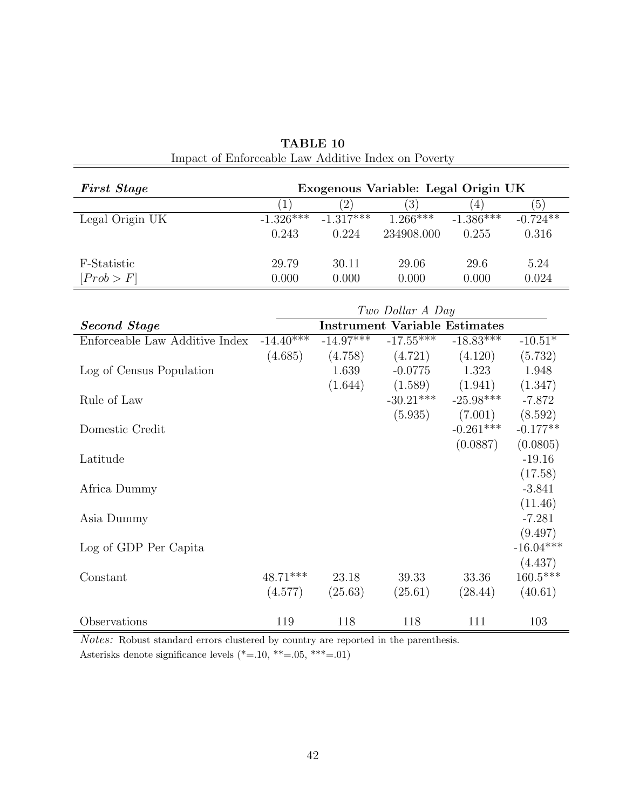| <b>First Stage</b> | Exogenous Variable: Legal Origin UK |                |            |             |            |  |
|--------------------|-------------------------------------|----------------|------------|-------------|------------|--|
|                    |                                     | $\overline{2}$ | (3)        | 4           | (5)        |  |
| Legal Origin UK    | $-1.326***$                         | $-1.317*+$     | $1.266***$ | $-1.386***$ | $-0.724**$ |  |
|                    | 0.243                               | 0.224          | 234908.000 | 0.255       | 0.316      |  |
| F-Statistic        | 29.79                               | 30.11          | 29.06      | 29.6        | 5.24       |  |
| [Prob > F]         | 0.000                               | 0.000          | 0.000      | 0.000       | 0.024      |  |

| TABLE 10                                            |  |  |  |  |  |  |
|-----------------------------------------------------|--|--|--|--|--|--|
| Impact of Enforceable Law Additive Index on Poverty |  |  |  |  |  |  |

|                                | Two Dollar A Day |             |                                      |                         |             |  |  |
|--------------------------------|------------------|-------------|--------------------------------------|-------------------------|-------------|--|--|
| <b>Second Stage</b>            |                  |             | <b>Instrument Variable Estimates</b> |                         |             |  |  |
| Enforceable Law Additive Index | $-14.40***$      | $-14.97***$ | $-17.55***$                          | $-18.83***$             | $-10.51*$   |  |  |
|                                | (4.685)          | (4.758)     | (4.721)                              | (4.120)                 | (5.732)     |  |  |
| Log of Census Population       |                  | 1.639       | $-0.0775$                            | 1.323                   | 1.948       |  |  |
|                                |                  | (1.644)     |                                      | $(1.589)$ $(1.941)$     | (1.347)     |  |  |
| Rule of Law                    |                  |             |                                      | $-30.21***$ $-25.98***$ | $-7.872$    |  |  |
|                                |                  |             | (5.935)                              | (7.001)                 | (8.592)     |  |  |
| Domestic Credit                |                  |             |                                      | $-0.261***$             | $-0.177**$  |  |  |
|                                |                  |             |                                      | (0.0887)                | (0.0805)    |  |  |
| Latitude                       |                  |             |                                      |                         | $-19.16$    |  |  |
|                                |                  |             |                                      |                         | (17.58)     |  |  |
| Africa Dummy                   |                  |             |                                      |                         | $-3.841$    |  |  |
|                                |                  |             |                                      |                         | (11.46)     |  |  |
| Asia Dummy                     |                  |             |                                      |                         | $-7.281$    |  |  |
|                                |                  |             |                                      |                         | (9.497)     |  |  |
| Log of GDP Per Capita          |                  |             |                                      |                         | $-16.04***$ |  |  |
|                                |                  |             |                                      |                         | (4.437)     |  |  |
| Constant                       | $48.71***$       | 23.18       | 39.33                                | 33.36                   | $160.5***$  |  |  |
|                                | (4.577)          | (25.63)     | (25.61)                              | (28.44)                 | (40.61)     |  |  |
| Observations                   | 119              | 118         | 118                                  | 111                     | 103         |  |  |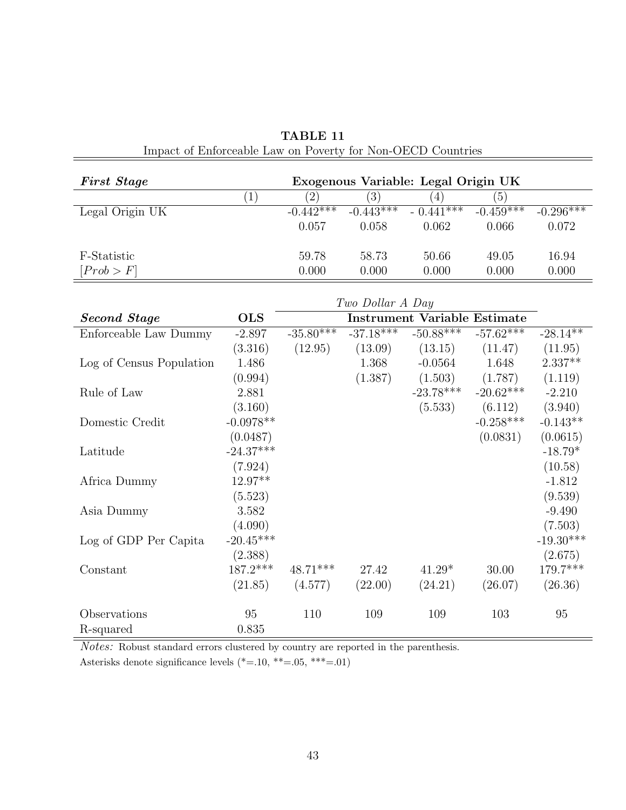| <b>First Stage</b> | Exogenous Variable: Legal Origin UK |              |                  |             |                  |             |
|--------------------|-------------------------------------|--------------|------------------|-------------|------------------|-------------|
|                    |                                     | $^{\prime}2$ | $\left(3\right)$ | 4           | $\left(5\right)$ |             |
| Legal Origin UK    |                                     | $-0.442***$  | $-0.443*1*$      | $-0.441***$ | $-0.459$ ***     | $-0.296***$ |
|                    |                                     | 0.057        | 0.058            | 0.062       | 0.066            | 0.072       |
| F-Statistic        |                                     | 59.78        | 58.73            | 50.66       | 49.05            | 16.94       |
| [Prob > F]         |                                     | 0.000        | $0.000\,$        | 0.000       | 0.000            | 0.000       |

TABLE 11 Impact of Enforceable Law on Poverty for Non-OECD Countries

|                          | Two Dollar A Day |                                     |             |             |             |             |
|--------------------------|------------------|-------------------------------------|-------------|-------------|-------------|-------------|
| <b>Second Stage</b>      | <b>OLS</b>       | <b>Instrument Variable Estimate</b> |             |             |             |             |
| Enforceable Law Dummy    | $-2.897$         | $-35.80*+1}$                        | $-37.18***$ | $-50.88***$ | $-57.62***$ | $-28.14**$  |
|                          | (3.316)          | (12.95)                             | (13.09)     | (13.15)     | (11.47)     | (11.95)     |
| Log of Census Population | 1.486            |                                     | 1.368       | $-0.0564$   | 1.648       | $2.337**$   |
|                          | (0.994)          |                                     | (1.387)     | (1.503)     | (1.787)     | (1.119)     |
| Rule of Law              | 2.881            |                                     |             | $-23.78***$ | $-20.62***$ | $-2.210$    |
|                          | (3.160)          |                                     |             | (5.533)     | (6.112)     | (3.940)     |
| Domestic Credit          | $-0.0978**$      |                                     |             |             | $-0.258***$ | $-0.143**$  |
|                          | (0.0487)         |                                     |             |             | (0.0831)    | (0.0615)    |
| Latitude                 | $-24.37***$      |                                     |             |             |             | $-18.79*$   |
|                          | (7.924)          |                                     |             |             |             | (10.58)     |
| Africa Dummy             | $12.97**$        |                                     |             |             |             | $-1.812$    |
|                          | (5.523)          |                                     |             |             |             | (9.539)     |
| Asia Dummy               | 3.582            |                                     |             |             |             | $-9.490$    |
|                          | (4.090)          |                                     |             |             |             | (7.503)     |
| Log of GDP Per Capita    | $-20.45***$      |                                     |             |             |             | $-19.30***$ |
|                          | (2.388)          |                                     |             |             |             | (2.675)     |
| Constant                 | $187.2***$       | $48.71***$                          | 27.42       | $41.29*$    | 30.00       | 179.7***    |
|                          | (21.85)          | (4.577)                             | (22.00)     | (24.21)     | (26.07)     | (26.36)     |
| Observations             | 95               | 110                                 | 109         | 109         | 103         | 95          |
| R-squared                | 0.835            |                                     |             |             |             |             |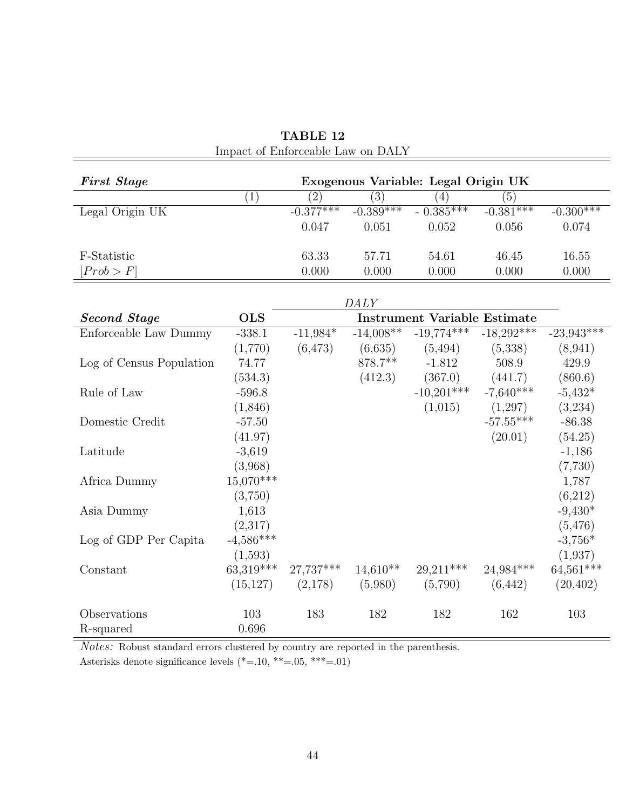| Impact of Empletable Law on DITE |                                     |                                     |                  |              |              |              |  |  |
|----------------------------------|-------------------------------------|-------------------------------------|------------------|--------------|--------------|--------------|--|--|
| <b>First Stage</b>               | Exogenous Variable: Legal Origin UK |                                     |                  |              |              |              |  |  |
|                                  | $\overline{(1)}$                    | $\overline{(2)}$                    | $\overline{(3)}$ | (4)          | (5)          |              |  |  |
| Legal Origin UK                  |                                     | $-0.377***$                         | $-0.389***$      | $-0.385***$  | $-0.381***$  | $-0.300***$  |  |  |
|                                  |                                     | 0.047                               | 0.051            | 0.052        | 0.056        | 0.074        |  |  |
|                                  |                                     |                                     |                  |              |              |              |  |  |
| F-Statistic                      |                                     | 63.33                               | 57.71            | 54.61        | 46.45        | 16.55        |  |  |
| [Prob > F]                       |                                     | 0.000                               | 0.000            | 0.000        | 0.000        | 0.000        |  |  |
|                                  |                                     |                                     |                  |              |              |              |  |  |
| DALY                             |                                     |                                     |                  |              |              |              |  |  |
| <b>Second Stage</b>              | <b>OLS</b>                          | <b>Instrument Variable Estimate</b> |                  |              |              |              |  |  |
| Enforceable Law Dummy            | $-338.1$                            | $-11,984*$                          | $-14,008**$      | $-19,774***$ | $-18,292***$ | $-23,943***$ |  |  |
|                                  | (1,770)                             | (6, 473)                            | (6,635)          | (5, 494)     | (5,338)      | (8,941)      |  |  |
| Log of Census Population         | 74.77                               |                                     | 878.7**          | $-1.812$     | 508.9        | 429.9        |  |  |
|                                  | (534.3)                             |                                     | (412.3)          | (367.0)      | (441.7)      | (860.6)      |  |  |
| Rule of Law                      | $-596.8$                            |                                     |                  | $-10,201***$ | $-7,640***$  | $-5,432*$    |  |  |
|                                  | (1,846)                             |                                     |                  | (1,015)      | (1,297)      | (3,234)      |  |  |
| Domestic Credit                  | $-57.50$                            |                                     |                  |              | $-57.55***$  | $-86.38$     |  |  |
|                                  | (41.97)                             |                                     |                  |              | (20.01)      | (54.25)      |  |  |
| Latitude                         | $-3,619$                            |                                     |                  |              |              | $-1,186$     |  |  |
|                                  | (3,968)                             |                                     |                  |              |              | (7,730)      |  |  |
| Africa Dummy                     | $15,070***$                         |                                     |                  |              |              | 1,787        |  |  |
|                                  | (3,750)                             |                                     |                  |              |              | (6,212)      |  |  |
| Asia Dummy                       | 1,613                               |                                     |                  |              |              | $-9,430*$    |  |  |
|                                  | (2,317)                             |                                     |                  |              |              | (5, 476)     |  |  |
| Log of GDP Per Capita            | $-4,586***$                         |                                     |                  |              |              | $-3,756*$    |  |  |
|                                  | (1,593)                             |                                     |                  |              |              | (1,937)      |  |  |
| Constant                         | 63,319***                           | 27,737***                           | $14,610**$       | 29,211***    | 24,984***    | $64,561***$  |  |  |
|                                  | (15, 127)                           | (2,178)                             | (5,980)          | (5,790)      | (6, 442)     | (20, 402)    |  |  |
| Observations                     | 103                                 | 183                                 | 182              | 182          | 162          | 103          |  |  |
| R-squared                        | 0.696                               |                                     |                  |              |              |              |  |  |

TABLE 12 Impact of Enforceable Law on DALY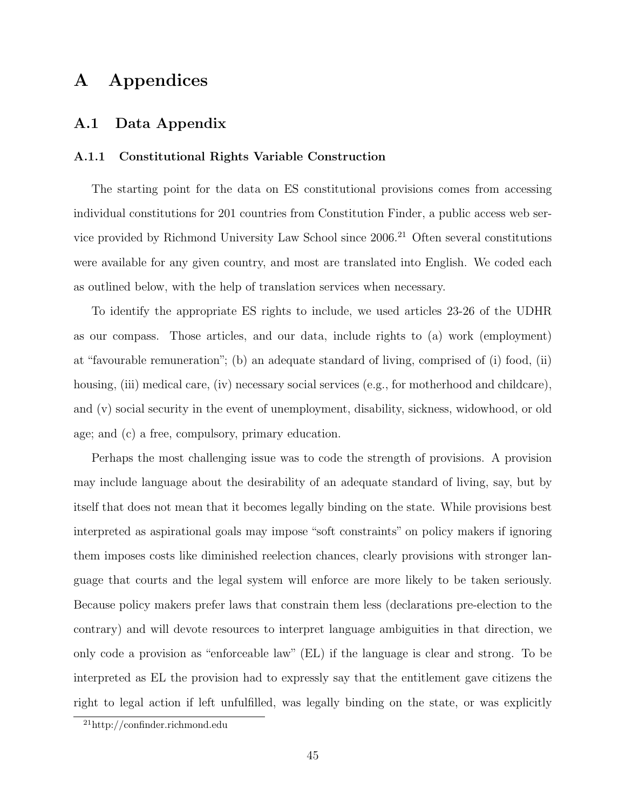## A Appendices

#### A.1 Data Appendix

#### A.1.1 Constitutional Rights Variable Construction

The starting point for the data on ES constitutional provisions comes from accessing individual constitutions for 201 countries from Constitution Finder, a public access web service provided by Richmond University Law School since  $2006<sup>21</sup>$  Often several constitutions were available for any given country, and most are translated into English. We coded each as outlined below, with the help of translation services when necessary.

To identify the appropriate ES rights to include, we used articles 23-26 of the UDHR as our compass. Those articles, and our data, include rights to (a) work (employment) at "favourable remuneration"; (b) an adequate standard of living, comprised of (i) food, (ii) housing, (iii) medical care, (iv) necessary social services (e.g., for motherhood and childcare), and (v) social security in the event of unemployment, disability, sickness, widowhood, or old age; and (c) a free, compulsory, primary education.

Perhaps the most challenging issue was to code the strength of provisions. A provision may include language about the desirability of an adequate standard of living, say, but by itself that does not mean that it becomes legally binding on the state. While provisions best interpreted as aspirational goals may impose "soft constraints" on policy makers if ignoring them imposes costs like diminished reelection chances, clearly provisions with stronger language that courts and the legal system will enforce are more likely to be taken seriously. Because policy makers prefer laws that constrain them less (declarations pre-election to the contrary) and will devote resources to interpret language ambiguities in that direction, we only code a provision as "enforceable law" (EL) if the language is clear and strong. To be interpreted as EL the provision had to expressly say that the entitlement gave citizens the right to legal action if left unfulfilled, was legally binding on the state, or was explicitly

<sup>21</sup>http://confinder.richmond.edu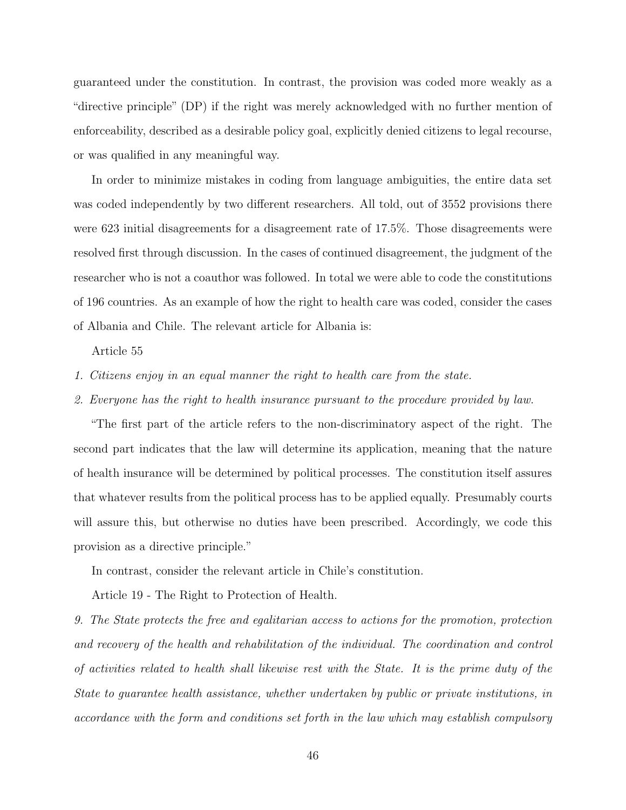guaranteed under the constitution. In contrast, the provision was coded more weakly as a "directive principle" (DP) if the right was merely acknowledged with no further mention of enforceability, described as a desirable policy goal, explicitly denied citizens to legal recourse, or was qualified in any meaningful way.

In order to minimize mistakes in coding from language ambiguities, the entire data set was coded independently by two different researchers. All told, out of 3552 provisions there were 623 initial disagreements for a disagreement rate of 17.5%. Those disagreements were resolved first through discussion. In the cases of continued disagreement, the judgment of the researcher who is not a coauthor was followed. In total we were able to code the constitutions of 196 countries. As an example of how the right to health care was coded, consider the cases of Albania and Chile. The relevant article for Albania is:

Article 55

- 1. Citizens enjoy in an equal manner the right to health care from the state.
- 2. Everyone has the right to health insurance pursuant to the procedure provided by law.

"The first part of the article refers to the non-discriminatory aspect of the right. The second part indicates that the law will determine its application, meaning that the nature of health insurance will be determined by political processes. The constitution itself assures that whatever results from the political process has to be applied equally. Presumably courts will assure this, but otherwise no duties have been prescribed. Accordingly, we code this provision as a directive principle."

In contrast, consider the relevant article in Chile's constitution.

Article 19 - The Right to Protection of Health.

9. The State protects the free and egalitarian access to actions for the promotion, protection and recovery of the health and rehabilitation of the individual. The coordination and control of activities related to health shall likewise rest with the State. It is the prime duty of the State to guarantee health assistance, whether undertaken by public or private institutions, in accordance with the form and conditions set forth in the law which may establish compulsory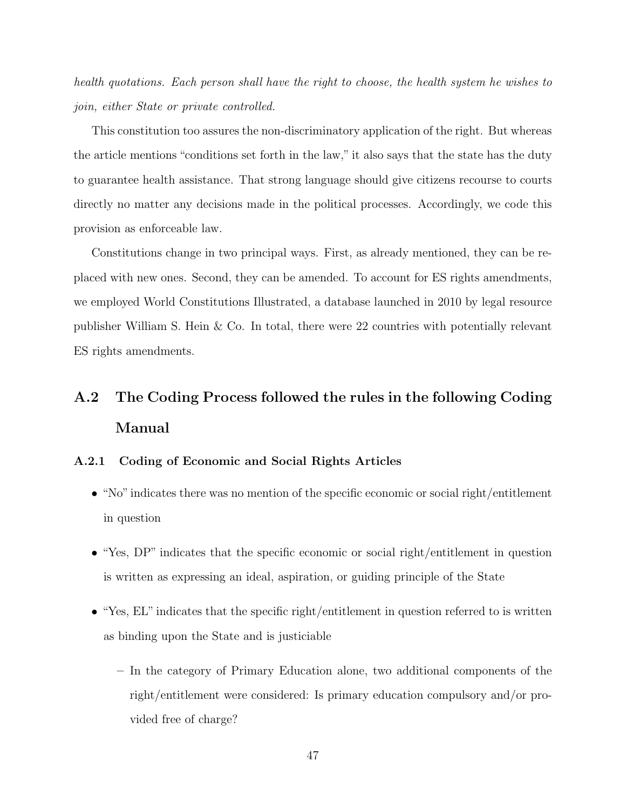health quotations. Each person shall have the right to choose, the health system he wishes to join, either State or private controlled.

This constitution too assures the non-discriminatory application of the right. But whereas the article mentions "conditions set forth in the law," it also says that the state has the duty to guarantee health assistance. That strong language should give citizens recourse to courts directly no matter any decisions made in the political processes. Accordingly, we code this provision as enforceable law.

Constitutions change in two principal ways. First, as already mentioned, they can be replaced with new ones. Second, they can be amended. To account for ES rights amendments, we employed World Constitutions Illustrated, a database launched in 2010 by legal resource publisher William S. Hein & Co. In total, there were 22 countries with potentially relevant ES rights amendments.

## A.2 The Coding Process followed the rules in the following Coding Manual

#### A.2.1 Coding of Economic and Social Rights Articles

- "No"indicates there was no mention of the specific economic or social right/entitlement in question
- "Yes, DP" indicates that the specific economic or social right/entitlement in question is written as expressing an ideal, aspiration, or guiding principle of the State
- "Yes, EL" indicates that the specific right/entitlement in question referred to is written as binding upon the State and is justiciable
	- In the category of Primary Education alone, two additional components of the right/entitlement were considered: Is primary education compulsory and/or provided free of charge?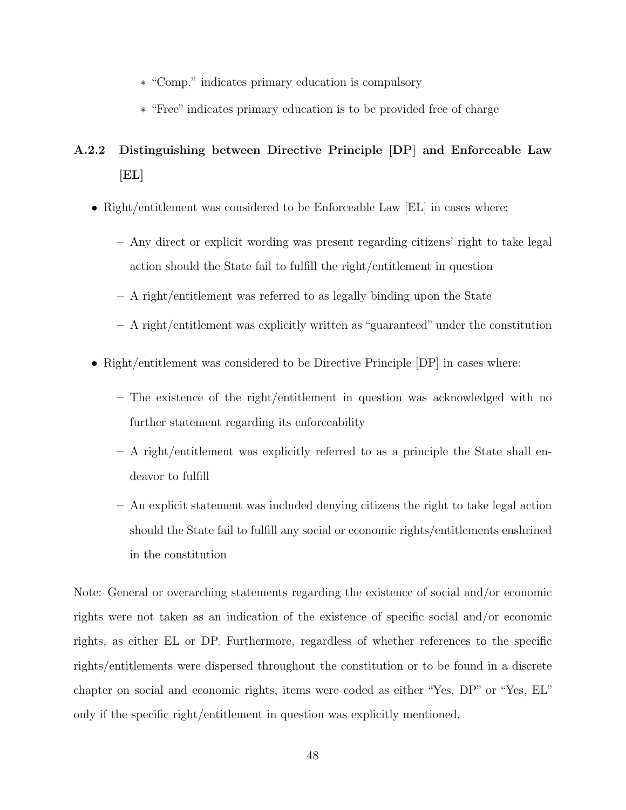- ∗ "Comp." indicates primary education is compulsory
- ∗ "Free" indicates primary education is to be provided free of charge

## A.2.2 Distinguishing between Directive Principle [DP] and Enforceable Law  $[EL]$

- Right/entitlement was considered to be Enforceable Law [EL] in cases where:
	- Any direct or explicit wording was present regarding citizens' right to take legal action should the State fail to fulfill the right/entitlement in question
	- A right/entitlement was referred to as legally binding upon the State
	- A right/entitlement was explicitly written as "guaranteed" under the constitution
- Right/entitlement was considered to be Directive Principle  $[DP]$  in cases where:
	- The existence of the right/entitlement in question was acknowledged with no further statement regarding its enforceability
	- A right/entitlement was explicitly referred to as a principle the State shall endeavor to fulfill
	- An explicit statement was included denying citizens the right to take legal action should the State fail to fulfill any social or economic rights/entitlements enshrined in the constitution

Note: General or overarching statements regarding the existence of social and/or economic rights were not taken as an indication of the existence of specific social and/or economic rights, as either EL or DP. Furthermore, regardless of whether references to the specific rights/entitlements were dispersed throughout the constitution or to be found in a discrete chapter on social and economic rights, items were coded as either "Yes, DP" or "Yes, EL" only if the specific right/entitlement in question was explicitly mentioned.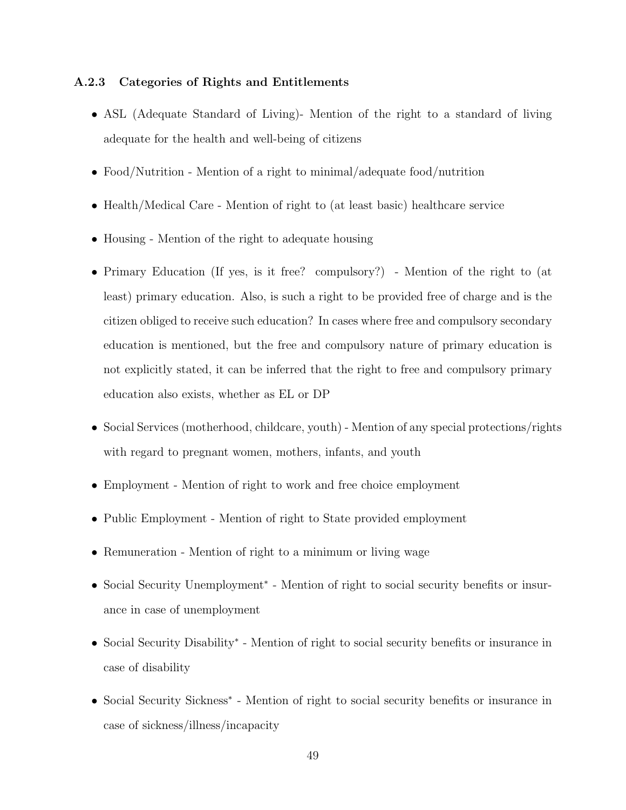#### A.2.3 Categories of Rights and Entitlements

- ASL (Adequate Standard of Living)- Mention of the right to a standard of living adequate for the health and well-being of citizens
- Food/Nutrition Mention of a right to minimal/adequate food/nutrition
- Health/Medical Care Mention of right to (at least basic) healthcare service
- Housing Mention of the right to adequate housing
- Primary Education (If yes, is it free? compulsory?) Mention of the right to (at least) primary education. Also, is such a right to be provided free of charge and is the citizen obliged to receive such education? In cases where free and compulsory secondary education is mentioned, but the free and compulsory nature of primary education is not explicitly stated, it can be inferred that the right to free and compulsory primary education also exists, whether as EL or DP
- Social Services (motherhood, childcare, youth) Mention of any special protections/rights with regard to pregnant women, mothers, infants, and youth
- Employment Mention of right to work and free choice employment
- Public Employment Mention of right to State provided employment
- Remuneration Mention of right to a minimum or living wage
- Social Security Unemployment<sup>∗</sup> Mention of right to social security benefits or insurance in case of unemployment
- Social Security Disability<sup>∗</sup> Mention of right to social security benefits or insurance in case of disability
- Social Security Sickness<sup>∗</sup> Mention of right to social security benefits or insurance in case of sickness/illness/incapacity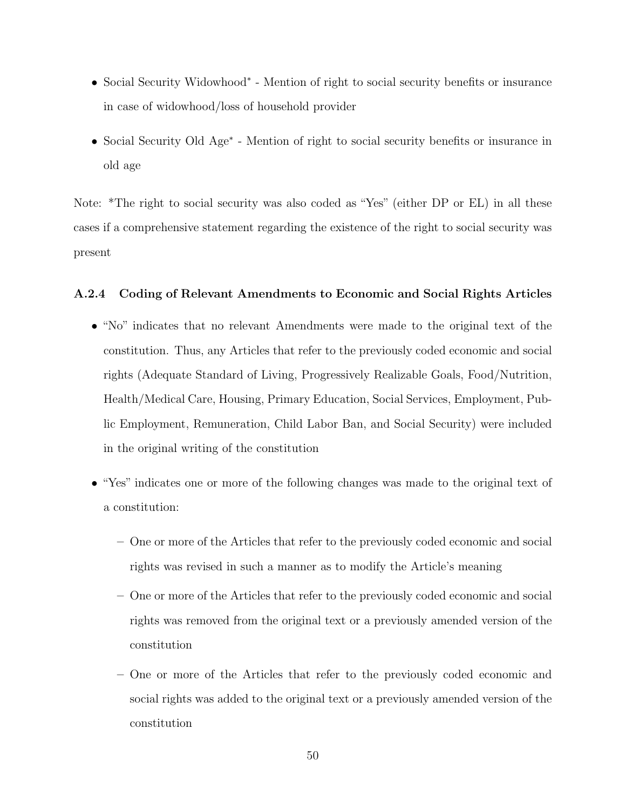- Social Security Widowhood<sup>∗</sup> Mention of right to social security benefits or insurance in case of widowhood/loss of household provider
- Social Security Old Age<sup>∗</sup> Mention of right to social security benefits or insurance in old age

Note: \*The right to social security was also coded as "Yes" (either DP or EL) in all these cases if a comprehensive statement regarding the existence of the right to social security was present

#### A.2.4 Coding of Relevant Amendments to Economic and Social Rights Articles

- "No" indicates that no relevant Amendments were made to the original text of the constitution. Thus, any Articles that refer to the previously coded economic and social rights (Adequate Standard of Living, Progressively Realizable Goals, Food/Nutrition, Health/Medical Care, Housing, Primary Education, Social Services, Employment, Public Employment, Remuneration, Child Labor Ban, and Social Security) were included in the original writing of the constitution
- "Yes" indicates one or more of the following changes was made to the original text of a constitution:
	- One or more of the Articles that refer to the previously coded economic and social rights was revised in such a manner as to modify the Article's meaning
	- One or more of the Articles that refer to the previously coded economic and social rights was removed from the original text or a previously amended version of the constitution
	- One or more of the Articles that refer to the previously coded economic and social rights was added to the original text or a previously amended version of the constitution